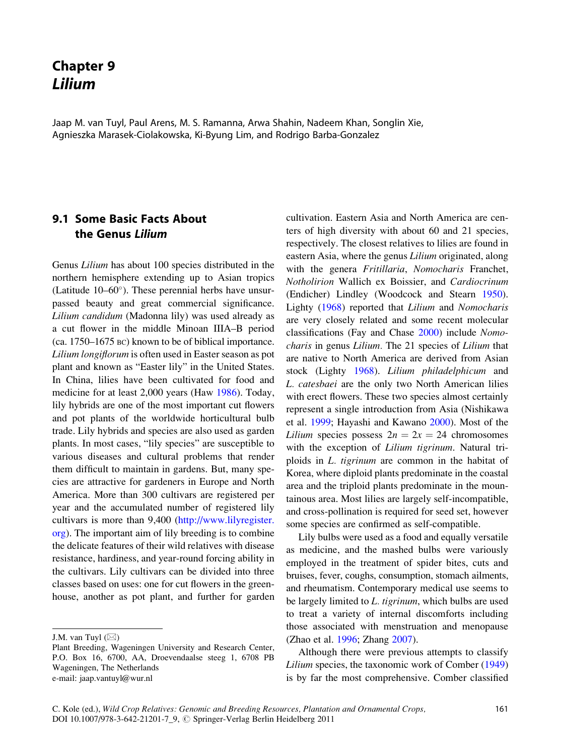# Chapter 9 Lilium

Jaap M. van Tuyl, Paul Arens, M. S. Ramanna, Arwa Shahin, Nadeem Khan, Songlin Xie, Agnieszka Marasek-Ciolakowska, Ki-Byung Lim, and Rodrigo Barba-Gonzalez

## 9.1 Some Basic Facts About the Genus Lilium

Genus Lilium has about 100 species distributed in the northern hemisphere extending up to Asian tropics (Latitude  $10-60^\circ$ ). These perennial herbs have unsurpassed beauty and great commercial significance. Lilium candidum (Madonna lily) was used already as a cut flower in the middle Minoan IIIA–B period (ca. 1750–1675 BC) known to be of biblical importance. Lilium longiflorum is often used in Easter season as pot plant and known as "Easter lily" in the United States. In China, lilies have been cultivated for food and medicine for at least 2,000 years (Haw [1986](#page-18-0)). Today, lily hybrids are one of the most important cut flowers and pot plants of the worldwide horticultural bulb trade. Lily hybrids and species are also used as garden plants. In most cases, "lily species" are susceptible to various diseases and cultural problems that render them difficult to maintain in gardens. But, many species are attractive for gardeners in Europe and North America. More than 300 cultivars are registered per year and the accumulated number of registered lily cultivars is more than 9,400 ([http://www.lilyregister.](http://www.lilyregister.org) [org](http://www.lilyregister.org)). The important aim of lily breeding is to combine the delicate features of their wild relatives with disease resistance, hardiness, and year-round forcing ability in the cultivars. Lily cultivars can be divided into three classes based on uses: one for cut flowers in the greenhouse, another as pot plant, and further for garden cultivation. Eastern Asia and North America are centers of high diversity with about 60 and 21 species, respectively. The closest relatives to lilies are found in eastern Asia, where the genus Lilium originated, along with the genera Fritillaria, Nomocharis Franchet, Notholirion Wallich ex Boissier, and Cardiocrinum (Endicher) Lindley (Woodcock and Stearn [1950](#page-22-0)). Lighty ([1968\)](#page-19-0) reported that Lilium and Nomocharis are very closely related and some recent molecular classifications (Fay and Chase [2000](#page-18-0)) include Nomocharis in genus Lilium. The 21 species of Lilium that are native to North America are derived from Asian stock (Lighty [1968](#page-19-0)). Lilium philadelphicum and L. catesbaei are the only two North American lilies with erect flowers. These two species almost certainly represent a single introduction from Asia (Nishikawa et al. [1999;](#page-20-0) Hayashi and Kawano [2000](#page-19-0)). Most of the Lilium species possess  $2n = 2x = 24$  chromosomes with the exception of Lilium tigrinum. Natural triploids in L. tigrinum are common in the habitat of Korea, where diploid plants predominate in the coastal area and the triploid plants predominate in the mountainous area. Most lilies are largely self-incompatible, and cross-pollination is required for seed set, however some species are confirmed as self-compatible.

Lily bulbs were used as a food and equally versatile as medicine, and the mashed bulbs were variously employed in the treatment of spider bites, cuts and bruises, fever, coughs, consumption, stomach ailments, and rheumatism. Contemporary medical use seems to be largely limited to *L. tigrinum*, which bulbs are used to treat a variety of internal discomforts including those associated with menstruation and menopause (Zhao et al. [1996](#page-22-0); Zhang [2007](#page-22-0)).

Although there were previous attempts to classify Lilium species, the taxonomic work of Comber ([1949\)](#page-18-0) is by far the most comprehensive. Comber classified

J.M. van Tuyl  $(\boxtimes)$ 

Plant Breeding, Wageningen University and Research Center, P.O. Box 16, 6700, AA, Droevendaalse steeg 1, 6708 PB Wageningen, The Netherlands e-mail: jaap.vantuyl@wur.nl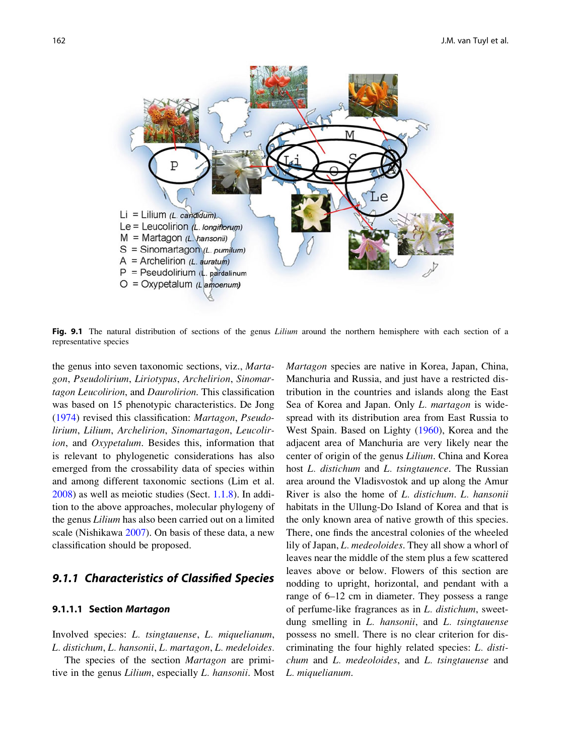

Fig. 9.1 The natural distribution of sections of the genus Lilium around the northern hemisphere with each section of a representative species

the genus into seven taxonomic sections, viz., Martagon, Pseudolirium, Liriotypus, Archelirion, Sinomartagon Leucolirion, and Daurolirion. This classification was based on 15 phenotypic characteristics. De Jong [\(1974](#page-18-0)) revised this classification: Martagon, Pseudolirium, Lilium, Archelirion, Sinomartagon, Leucolirion, and Oxypetalum. Besides this, information that is relevant to phylogenetic considerations has also emerged from the crossability data of species within and among different taxonomic sections (Lim et al. [2008\)](#page-19-0) as well as meiotic studies (Sect. [1.1.8\)](#page-5-0). In addition to the above approaches, molecular phylogeny of the genus Lilium has also been carried out on a limited scale (Nishikawa [2007](#page-20-0)). On basis of these data, a new classification should be proposed.

## 9.1.1 Characteristics of Classified Species

#### 9.1.1.1 Section Martagon

Involved species: L. tsingtauense, L. miquelianum, L. distichum, L. hansonii, L. martagon, L. medeloides.

The species of the section Martagon are primitive in the genus Lilium, especially L. hansonii. Most Martagon species are native in Korea, Japan, China, Manchuria and Russia, and just have a restricted distribution in the countries and islands along the East Sea of Korea and Japan. Only L. martagon is widespread with its distribution area from East Russia to West Spain. Based on Lighty ([1960\)](#page-19-0), Korea and the adjacent area of Manchuria are very likely near the center of origin of the genus Lilium. China and Korea host *L. distichum* and *L. tsingtauence*. The Russian area around the Vladisvostok and up along the Amur River is also the home of L. distichum. L. hansonii habitats in the Ullung-Do Island of Korea and that is the only known area of native growth of this species. There, one finds the ancestral colonies of the wheeled lily of Japan, L. medeoloides. They all show a whorl of leaves near the middle of the stem plus a few scattered leaves above or below. Flowers of this section are nodding to upright, horizontal, and pendant with a range of 6–12 cm in diameter. They possess a range of perfume-like fragrances as in L. distichum, sweetdung smelling in L. hansonii, and L. tsingtauense possess no smell. There is no clear criterion for discriminating the four highly related species: L. distichum and L. medeoloides, and L. tsingtauense and L. miquelianum.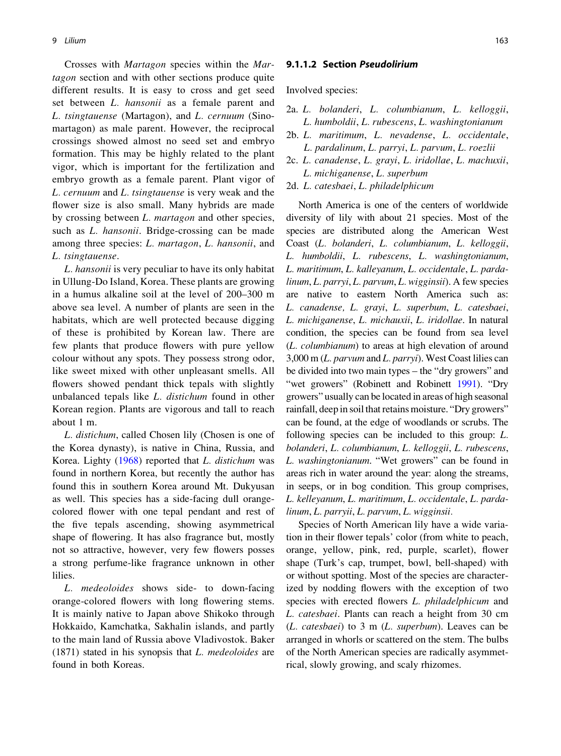Crosses with Martagon species within the Martagon section and with other sections produce quite different results. It is easy to cross and get seed set between *L. hansonii* as a female parent and L. tsingtauense (Martagon), and L. cernuum (Sinomartagon) as male parent. However, the reciprocal crossings showed almost no seed set and embryo formation. This may be highly related to the plant vigor, which is important for the fertilization and embryo growth as a female parent. Plant vigor of L. cernuum and L. tsingtauense is very weak and the flower size is also small. Many hybrids are made by crossing between *L. martagon* and other species, such as *L. hansonii*. Bridge-crossing can be made among three species: L. martagon, L. hansonii, and L. tsingtauense.

L. hansonii is very peculiar to have its only habitat in Ullung-Do Island, Korea. These plants are growing in a humus alkaline soil at the level of 200–300 m above sea level. A number of plants are seen in the habitats, which are well protected because digging of these is prohibited by Korean law. There are few plants that produce flowers with pure yellow colour without any spots. They possess strong odor, like sweet mixed with other unpleasant smells. All flowers showed pendant thick tepals with slightly unbalanced tepals like L. distichum found in other Korean region. Plants are vigorous and tall to reach about 1 m.

L. distichum, called Chosen lily (Chosen is one of the Korea dynasty), is native in China, Russia, and Korea. Lighty [\(1968](#page-19-0)) reported that L. distichum was found in northern Korea, but recently the author has found this in southern Korea around Mt. Dukyusan as well. This species has a side-facing dull orangecolored flower with one tepal pendant and rest of the five tepals ascending, showing asymmetrical shape of flowering. It has also fragrance but, mostly not so attractive, however, very few flowers posses a strong perfume-like fragrance unknown in other lilies.

L. medeoloides shows side- to down-facing orange-colored flowers with long flowering stems. It is mainly native to Japan above Shikoko through Hokkaido, Kamchatka, Sakhalin islands, and partly to the main land of Russia above Vladivostok. Baker (1871) stated in his synopsis that L. medeoloides are found in both Koreas.

#### 9.1.1.2 Section Pseudolirium

Involved species:

- 2a. L. bolanderi, L. columbianum, L. kelloggii, L. humboldii, L. rubescens, L. washingtonianum
- 2b. L. maritimum, L. nevadense, L. occidentale, L. pardalinum, L. parryi, L. parvum, L. roezlii
- 2c. L. canadense, L. grayi, L. iridollae, L. machuxii, L. michiganense, L. superbum
- 2d. L. catesbaei, L. philadelphicum

North America is one of the centers of worldwide diversity of lily with about 21 species. Most of the species are distributed along the American West Coast (L. bolanderi, L. columbianum, L. kelloggii, L. humboldii, L. rubescens, L. washingtonianum, L. maritimum, L. kalleyanum, L. occidentale, L. pardalinum, L. parryi, L. parvum, L. wigginsii). A few species are native to eastern North America such as: L. canadense, L. grayi, L. superbum, L. catesbaei, L. michiganense, L. michauxii, L. iridollae. In natural condition, the species can be found from sea level (L. columbianum) to areas at high elevation of around 3,000 m (L. parvum and L. parryi). West Coast lilies can be divided into two main types – the "dry growers" and "wet growers" (Robinett and Robinett [1991](#page-21-0)). "Dry growers" usually can be located in areas of high seasonal rainfall, deep in soil that retains moisture. "Dry growers" can be found, at the edge of woodlands or scrubs. The following species can be included to this group: L. bolanderi, L. columbianum, L. kelloggii, L. rubescens, L. washingtonianum. "Wet growers" can be found in areas rich in water around the year: along the streams, in seeps, or in bog condition. This group comprises, L. kelleyanum, L. maritimum, L. occidentale, L. pardalinum, L. parryii, L. parvum, L. wigginsii.

Species of North American lily have a wide variation in their flower tepals' color (from white to peach, orange, yellow, pink, red, purple, scarlet), flower shape (Turk's cap, trumpet, bowl, bell-shaped) with or without spotting. Most of the species are characterized by nodding flowers with the exception of two species with erected flowers L. philadelphicum and L. catesbaei. Plants can reach a height from 30 cm  $(L. \; \text{cates}$  to 3 m  $(L. \; \text{superbum})$ . Leaves can be arranged in whorls or scattered on the stem. The bulbs of the North American species are radically asymmetrical, slowly growing, and scaly rhizomes.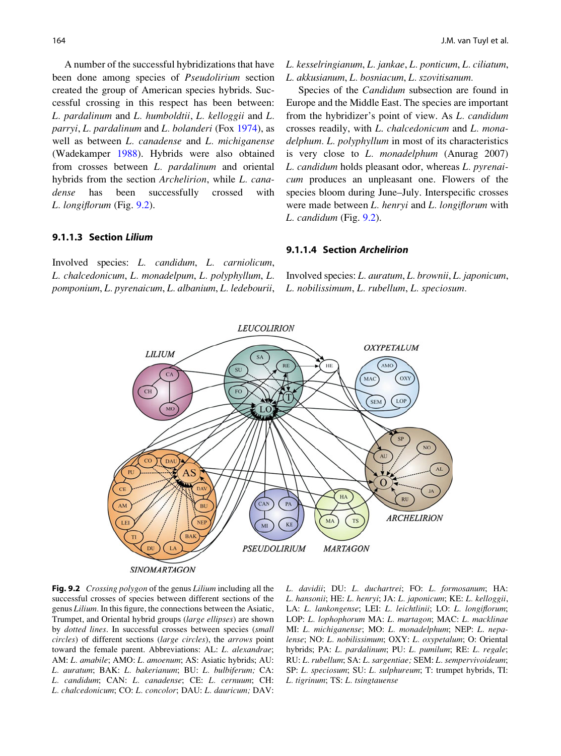<span id="page-3-0"></span>A number of the successful hybridizations that have been done among species of Pseudolirium section created the group of American species hybrids. Successful crossing in this respect has been between: L. pardalinum and L. humboldtii, L. kelloggii and L. parryi, L. pardalinum and L. bolanderi (Fox [1974](#page-18-0)), as well as between L. canadense and L. michiganense (Wadekamper [1988](#page-22-0)). Hybrids were also obtained from crosses between L. pardalinum and oriental hybrids from the section Archelirion, while L. canadense has been successfully crossed with L. longiflorum (Fig. 9.2).

### 9.1.1.3 Section Lilium

Involved species: L. candidum, L. carniolicum, L. chalcedonicum, L. monadelpum, L. polyphyllum, L. pomponium, L. pyrenaicum, L. albanium, L. ledebourii, L. kesselringianum, L. jankae, L. ponticum, L. ciliatum, L. akkusianum, L. bosniacum, L. szovitisanum.

Species of the Candidum subsection are found in Europe and the Middle East. The species are important from the hybridizer's point of view. As L. candidum crosses readily, with L. chalcedonicum and L. monadelphum. L. polyphyllum in most of its characteristics is very close to L. monadelphum (Anurag 2007) L. candidum holds pleasant odor, whereas L. pyrenaicum produces an unpleasant one. Flowers of the species bloom during June–July. Interspecific crosses were made between L. henryi and L. longiflorum with L. candidum (Fig. 9.2).

#### 9.1.1.4 Section Archelirion

Involved species: L. auratum, L. brownii, L. japonicum, L. nobilissimum, L. rubellum, L. speciosum.



Fig. 9.2 Crossing polygon of the genus Lilium including all the successful crosses of species between different sections of the genus Lilium. In this figure, the connections between the Asiatic, Trumpet, and Oriental hybrid groups (large ellipses) are shown by dotted lines. In successful crosses between species (small circles) of different sections (large circles), the arrows point toward the female parent. Abbreviations: AL: L. alexandrae; AM: L. amabile; AMO: L. amoenum; AS: Asiatic hybrids; AU: L. auratum; BAK: L. bakerianum; BU: L. bulbiferum; CA: L. candidum; CAN: L. canadense; CE: L. cernuum; CH: L. chalcedonicum; CO: L. concolor; DAU: L. dauricum; DAV:

L. davidii; DU: L. duchartrei; FO: L. formosanum; HA: L. hansonii; HE: L. henryi; JA: L. japonicum; KE: L. kelloggii, LA: L. lankongense; LEI: L. leichtlinii; LO: L. longiflorum; LOP: L. lophophorum MA: L. martagon; MAC: L. macklinae MI: L. michiganense; MO: L. monadelphum; NEP: L. nepalense; NO: L. nobilissimum; OXY: L. oxypetalum; O: Oriental hybrids; PA: L. pardalinum; PU: L. pumilum; RE: L. regale; RU: L. rubellum; SA: L. sargentiae; SEM: L. sempervivoideum; SP: L. speciosum; SU: L. sulphureum; T: trumpet hybrids, TI: L. tigrinum; TS: L. tsingtauense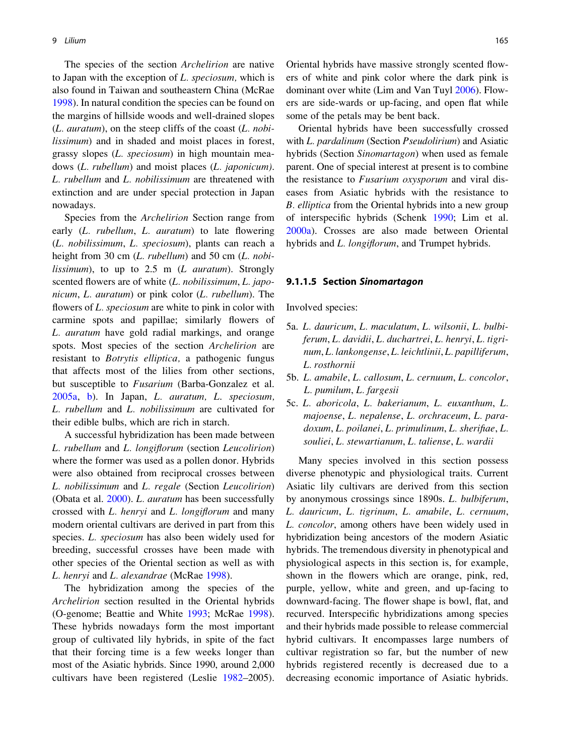The species of the section Archelirion are native to Japan with the exception of L. speciosum, which is also found in Taiwan and southeastern China (McRae [1998\)](#page-20-0). In natural condition the species can be found on the margins of hillside woods and well-drained slopes  $(L.$  *auratum*), on the steep cliffs of the coast  $(L.$  *nobi*lissimum) and in shaded and moist places in forest, grassy slopes (L. speciosum) in high mountain meadows (L. rubellum) and moist places (L. japonicum). L. rubellum and L. nobilissimum are threatened with extinction and are under special protection in Japan nowadays.

Species from the Archelirion Section range from early (L. rubellum, L. auratum) to late flowering (L. nobilissimum, L. speciosum), plants can reach a height from 30 cm (L. *rubellum*) and 50 cm (L. *nobi*lissimum), to up to 2.5 m  $(L$  auratum). Strongly scented flowers are of white (L. nobilissimum, L. japonicum, L. auratum) or pink color (L. rubellum). The flowers of L. speciosum are white to pink in color with carmine spots and papillae; similarly flowers of L. auratum have gold radial markings, and orange spots. Most species of the section Archelirion are resistant to Botrytis elliptica, a pathogenic fungus that affects most of the lilies from other sections, but susceptible to Fusarium (Barba-Gonzalez et al. [2005a](#page-17-0), [b\)](#page-17-0). In Japan, L. auratum, L. speciosum, L. rubellum and L. nobilissimum are cultivated for their edible bulbs, which are rich in starch.

A successful hybridization has been made between L. rubellum and L. longiflorum (section Leucolirion) where the former was used as a pollen donor. Hybrids were also obtained from reciprocal crosses between L. nobilissimum and L. regale (Section Leucolirion) (Obata et al. [2000](#page-20-0)). L. auratum has been successfully crossed with L. henryi and L. longiflorum and many modern oriental cultivars are derived in part from this species. L. speciosum has also been widely used for breeding, successful crosses have been made with other species of the Oriental section as well as with L. henryi and L. alexandrae (McRae [1998](#page-20-0)).

The hybridization among the species of the Archelirion section resulted in the Oriental hybrids (O-genome; Beattie and White [1993;](#page-17-0) McRae [1998](#page-20-0)). These hybrids nowadays form the most important group of cultivated lily hybrids, in spite of the fact that their forcing time is a few weeks longer than most of the Asiatic hybrids. Since 1990, around 2,000 cultivars have been registered (Leslie [1982](#page-19-0)–2005). Oriental hybrids have massive strongly scented flowers of white and pink color where the dark pink is dominant over white (Lim and Van Tuyl [2006](#page-19-0)). Flowers are side-wards or up-facing, and open flat while some of the petals may be bent back.

Oriental hybrids have been successfully crossed with *L. pardalinum* (Section *Pseudolirium*) and Asiatic hybrids (Section Sinomartagon) when used as female parent. One of special interest at present is to combine the resistance to Fusarium oxysporum and viral diseases from Asiatic hybrids with the resistance to B. elliptica from the Oriental hybrids into a new group of interspecific hybrids (Schenk [1990](#page-21-0); Lim et al. [2000a\)](#page-19-0). Crosses are also made between Oriental hybrids and *L. longiflorum*, and Trumpet hybrids.

#### 9.1.1.5 Section Sinomartagon

Involved species:

- 5a. L. dauricum, L. maculatum, L. wilsonii, L. bulbiferum, L. davidii, L. duchartrei, L. henryi, L. tigrinum, L. lankongense, L. leichtlinii, L. papilliferum, L. rosthornii
- 5b. L. amabile, L. callosum, L. cernuum, L. concolor, L. pumilum, L. fargesii
- 5c. L. aboricola, L. bakerianum, L. euxanthum, L. majoense, L. nepalense, L. orchraceum, L. paradoxum, L. poilanei, L. primulinum, L. sherifiae, L. souliei, L. stewartianum, L. taliense, L. wardii

Many species involved in this section possess diverse phenotypic and physiological traits. Current Asiatic lily cultivars are derived from this section by anonymous crossings since 1890s. L. bulbiferum, L. dauricum, L. tigrinum, L. amabile, L. cernuum, L. concolor, among others have been widely used in hybridization being ancestors of the modern Asiatic hybrids. The tremendous diversity in phenotypical and physiological aspects in this section is, for example, shown in the flowers which are orange, pink, red, purple, yellow, white and green, and up-facing to downward-facing. The flower shape is bowl, flat, and recurved. Interspecific hybridizations among species and their hybrids made possible to release commercial hybrid cultivars. It encompasses large numbers of cultivar registration so far, but the number of new hybrids registered recently is decreased due to a decreasing economic importance of Asiatic hybrids.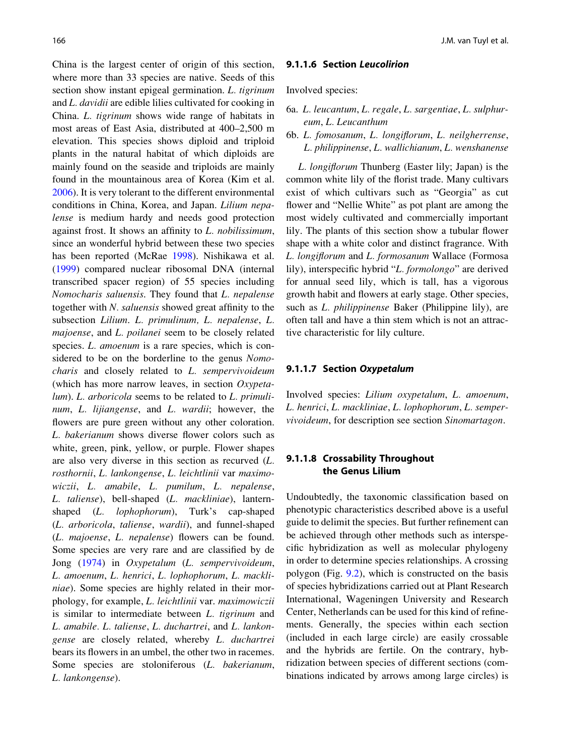<span id="page-5-0"></span>China is the largest center of origin of this section, where more than 33 species are native. Seeds of this section show instant epigeal germination. L. tigrinum and L. davidii are edible lilies cultivated for cooking in China. L. tigrinum shows wide range of habitats in most areas of East Asia, distributed at 400–2,500 m elevation. This species shows diploid and triploid plants in the natural habitat of which diploids are mainly found on the seaside and triploids are mainly found in the mountainous area of Korea (Kim et al. [2006\)](#page-19-0). It is very tolerant to the different environmental conditions in China, Korea, and Japan. Lilium nepalense is medium hardy and needs good protection against frost. It shows an affinity to L. nobilissimum, since an wonderful hybrid between these two species has been reported (McRae [1998\)](#page-20-0). Nishikawa et al. [\(1999](#page-20-0)) compared nuclear ribosomal DNA (internal transcribed spacer region) of 55 species including Nomocharis saluensis. They found that L. nepalense together with N. saluensis showed great affinity to the subsection Lilium. L. primulinum, L. nepalense, L. majoense, and L. poilanei seem to be closely related species. L. amoenum is a rare species, which is considered to be on the borderline to the genus Nomocharis and closely related to L. sempervivoideum (which has more narrow leaves, in section Oxypetalum). L. arboricola seems to be related to L. primulinum, L. lijiangense, and L. wardii; however, the flowers are pure green without any other coloration. L. bakerianum shows diverse flower colors such as white, green, pink, yellow, or purple. Flower shapes are also very diverse in this section as recurved (L. rosthornii, L. lankongense, L. leichtlinii var maximowiczii, L. amabile, L. pumilum, L. nepalense, L. taliense), bell-shaped (L. mackliniae), lanternshaped (*L. lophophorum*), Turk's cap-shaped (L. arboricola, taliense, wardii), and funnel-shaped (L. majoense, L. nepalense) flowers can be found. Some species are very rare and are classified by de Jong [\(1974](#page-18-0)) in Oxypetalum (L. sempervivoideum, L. amoenum, L. henrici, L. lophophorum, L. mackliniae). Some species are highly related in their morphology, for example, L. leichtlinii var. maximowiczii is similar to intermediate between L. tigrinum and L. amabile. L. taliense, L. duchartrei, and L. lankongense are closely related, whereby L. duchartrei bears its flowers in an umbel, the other two in racemes. Some species are stoloniferous (L. bakerianum, L. lankongense).

#### 9.1.1.6 Section Leucolirion

Involved species:

- 6a. L. leucantum, L. regale, L. sargentiae, L. sulphureum, L. Leucanthum
- 6b. L. fomosanum, L. longiflorum, L. neilgherrense, L. philippinense, L. wallichianum, L. wenshanense

L. longiflorum Thunberg (Easter lily; Japan) is the common white lily of the florist trade. Many cultivars exist of which cultivars such as "Georgia" as cut flower and "Nellie White" as pot plant are among the most widely cultivated and commercially important lily. The plants of this section show a tubular flower shape with a white color and distinct fragrance. With L. longiflorum and L. formosanum Wallace (Formosa lily), interspecific hybrid "L. formolongo" are derived for annual seed lily, which is tall, has a vigorous growth habit and flowers at early stage. Other species, such as *L. philippinense* Baker (Philippine lily), are often tall and have a thin stem which is not an attractive characteristic for lily culture.

### 9.1.1.7 Section Oxypetalum

Involved species: Lilium oxypetalum, L. amoenum, L. henrici, L. mackliniae, L. lophophorum, L. sempervivoideum, for description see section Sinomartagon.

### 9.1.1.8 Crossability Throughout the Genus Lilium

Undoubtedly, the taxonomic classification based on phenotypic characteristics described above is a useful guide to delimit the species. But further refinement can be achieved through other methods such as interspecific hybridization as well as molecular phylogeny in order to determine species relationships. A crossing polygon (Fig. [9.2](#page-3-0)), which is constructed on the basis of species hybridizations carried out at Plant Research International, Wageningen University and Research Center, Netherlands can be used for this kind of refinements. Generally, the species within each section (included in each large circle) are easily crossable and the hybrids are fertile. On the contrary, hybridization between species of different sections (combinations indicated by arrows among large circles) is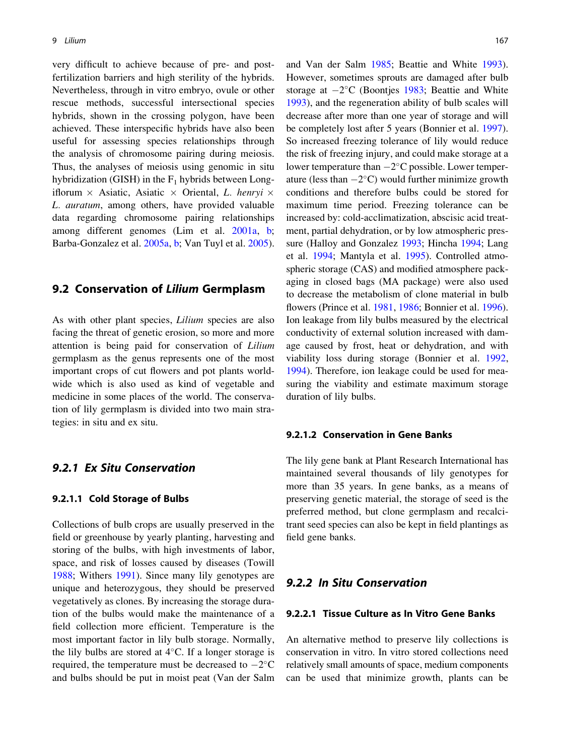very difficult to achieve because of pre- and postfertilization barriers and high sterility of the hybrids. Nevertheless, through in vitro embryo, ovule or other rescue methods, successful intersectional species hybrids, shown in the crossing polygon, have been achieved. These interspecific hybrids have also been useful for assessing species relationships through the analysis of chromosome pairing during meiosis. Thus, the analyses of meiosis using genomic in situ hybridization (GISH) in the  $F_1$  hybrids between Longiflorum  $\times$  Asiatic, Asiatic  $\times$  Oriental, *L. henryi*  $\times$ L. auratum, among others, have provided valuable data regarding chromosome pairing relationships among different genomes (Lim et al. [2001a,](#page-19-0) [b](#page-19-0); Barba-Gonzalez et al. [2005a,](#page-17-0) [b;](#page-17-0) Van Tuyl et al. [2005](#page-22-0)).

### 9.2 Conservation of Lilium Germplasm

As with other plant species, Lilium species are also facing the threat of genetic erosion, so more and more attention is being paid for conservation of Lilium germplasm as the genus represents one of the most important crops of cut flowers and pot plants worldwide which is also used as kind of vegetable and medicine in some places of the world. The conservation of lily germplasm is divided into two main strategies: in situ and ex situ.

### 9.2.1 Ex Situ Conservation

#### 9.2.1.1 Cold Storage of Bulbs

Collections of bulb crops are usually preserved in the field or greenhouse by yearly planting, harvesting and storing of the bulbs, with high investments of labor, space, and risk of losses caused by diseases (Towill [1988;](#page-21-0) Withers [1991\)](#page-22-0). Since many lily genotypes are unique and heterozygous, they should be preserved vegetatively as clones. By increasing the storage duration of the bulbs would make the maintenance of a field collection more efficient. Temperature is the most important factor in lily bulb storage. Normally, the lily bulbs are stored at  $4^{\circ}$ C. If a longer storage is required, the temperature must be decreased to  $-2^{\circ}$ C and bulbs should be put in moist peat (Van der Salm

and Van der Salm [1985;](#page-21-0) Beattie and White [1993](#page-17-0)). However, sometimes sprouts are damaged after bulb storage at  $-2$ °C (Boontjes [1983;](#page-18-0) Beattie and White [1993](#page-17-0)), and the regeneration ability of bulb scales will decrease after more than one year of storage and will be completely lost after 5 years (Bonnier et al. [1997](#page-18-0)). So increased freezing tolerance of lily would reduce the risk of freezing injury, and could make storage at a lower temperature than  $-2^{\circ}$ C possible. Lower temperature (less than  $-2^{\circ}$ C) would further minimize growth conditions and therefore bulbs could be stored for maximum time period. Freezing tolerance can be increased by: cold-acclimatization, abscisic acid treatment, partial dehydration, or by low atmospheric pressure (Halloy and Gonzalez [1993](#page-18-0); Hincha [1994](#page-19-0); Lang et al. [1994;](#page-19-0) Mantyla et al. [1995](#page-19-0)). Controlled atmospheric storage (CAS) and modified atmosphere packaging in closed bags (MA package) were also used to decrease the metabolism of clone material in bulb flowers (Prince et al. [1981,](#page-21-0) [1986;](#page-21-0) Bonnier et al. [1996](#page-18-0)). Ion leakage from lily bulbs measured by the electrical conductivity of external solution increased with damage caused by frost, heat or dehydration, and with viability loss during storage (Bonnier et al. [1992,](#page-18-0) [1994](#page-18-0)). Therefore, ion leakage could be used for measuring the viability and estimate maximum storage duration of lily bulbs.

### 9.2.1.2 Conservation in Gene Banks

The lily gene bank at Plant Research International has maintained several thousands of lily genotypes for more than 35 years. In gene banks, as a means of preserving genetic material, the storage of seed is the preferred method, but clone germplasm and recalcitrant seed species can also be kept in field plantings as field gene banks.

## 9.2.2 In Situ Conservation

#### 9.2.2.1 Tissue Culture as In Vitro Gene Banks

An alternative method to preserve lily collections is conservation in vitro. In vitro stored collections need relatively small amounts of space, medium components can be used that minimize growth, plants can be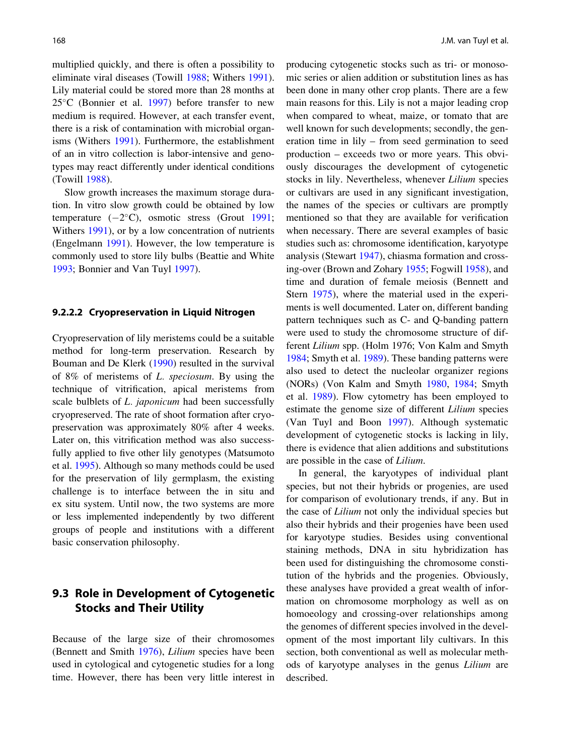multiplied quickly, and there is often a possibility to eliminate viral diseases (Towill [1988;](#page-21-0) Withers [1991](#page-22-0)). Lily material could be stored more than 28 months at  $25^{\circ}$ C (Bonnier et al. [1997](#page-18-0)) before transfer to new medium is required. However, at each transfer event, there is a risk of contamination with microbial organisms (Withers [1991](#page-22-0)). Furthermore, the establishment of an in vitro collection is labor-intensive and genotypes may react differently under identical conditions (Towill [1988\)](#page-21-0).

Slow growth increases the maximum storage duration. In vitro slow growth could be obtained by low temperature  $(-2^{\circ}C)$ , osmotic stress (Grout [1991](#page-18-0); Withers [1991\)](#page-22-0), or by a low concentration of nutrients (Engelmann [1991](#page-18-0)). However, the low temperature is commonly used to store lily bulbs (Beattie and White [1993;](#page-17-0) Bonnier and Van Tuyl [1997\)](#page-18-0).

#### 9.2.2.2 Cryopreservation in Liquid Nitrogen

Cryopreservation of lily meristems could be a suitable method for long-term preservation. Research by Bouman and De Klerk ([1990\)](#page-18-0) resulted in the survival of 8% of meristems of L. speciosum. By using the technique of vitrification, apical meristems from scale bulblets of *L. japonicum* had been successfully cryopreserved. The rate of shoot formation after cryopreservation was approximately 80% after 4 weeks. Later on, this vitrification method was also successfully applied to five other lily genotypes (Matsumoto et al. [1995\)](#page-20-0). Although so many methods could be used for the preservation of lily germplasm, the existing challenge is to interface between the in situ and ex situ system. Until now, the two systems are more or less implemented independently by two different groups of people and institutions with a different basic conservation philosophy.

## 9.3 Role in Development of Cytogenetic Stocks and Their Utility

Because of the large size of their chromosomes (Bennett and Smith [1976\)](#page-18-0), Lilium species have been used in cytological and cytogenetic studies for a long time. However, there has been very little interest in producing cytogenetic stocks such as tri- or monosomic series or alien addition or substitution lines as has been done in many other crop plants. There are a few main reasons for this. Lily is not a major leading crop when compared to wheat, maize, or tomato that are well known for such developments; secondly, the generation time in lily – from seed germination to seed production – exceeds two or more years. This obviously discourages the development of cytogenetic stocks in lily. Nevertheless, whenever Lilium species or cultivars are used in any significant investigation, the names of the species or cultivars are promptly mentioned so that they are available for verification when necessary. There are several examples of basic studies such as: chromosome identification, karyotype analysis (Stewart [1947](#page-21-0)), chiasma formation and crossing-over (Brown and Zohary [1955;](#page-18-0) Fogwill [1958\)](#page-18-0), and time and duration of female meiosis (Bennett and Stern [1975](#page-18-0)), where the material used in the experiments is well documented. Later on, different banding pattern techniques such as C- and Q-banding pattern were used to study the chromosome structure of different Lilium spp. (Holm 1976; Von Kalm and Smyth [1984](#page-22-0); Smyth et al. [1989](#page-21-0)). These banding patterns were also used to detect the nucleolar organizer regions (NORs) (Von Kalm and Smyth [1980,](#page-22-0) [1984;](#page-22-0) Smyth et al. [1989\)](#page-21-0). Flow cytometry has been employed to estimate the genome size of different Lilium species (Van Tuyl and Boon [1997](#page-21-0)). Although systematic development of cytogenetic stocks is lacking in lily, there is evidence that alien additions and substitutions are possible in the case of Lilium.

In general, the karyotypes of individual plant species, but not their hybrids or progenies, are used for comparison of evolutionary trends, if any. But in the case of Lilium not only the individual species but also their hybrids and their progenies have been used for karyotype studies. Besides using conventional staining methods, DNA in situ hybridization has been used for distinguishing the chromosome constitution of the hybrids and the progenies. Obviously, these analyses have provided a great wealth of information on chromosome morphology as well as on homoeology and crossing-over relationships among the genomes of different species involved in the development of the most important lily cultivars. In this section, both conventional as well as molecular methods of karyotype analyses in the genus Lilium are described.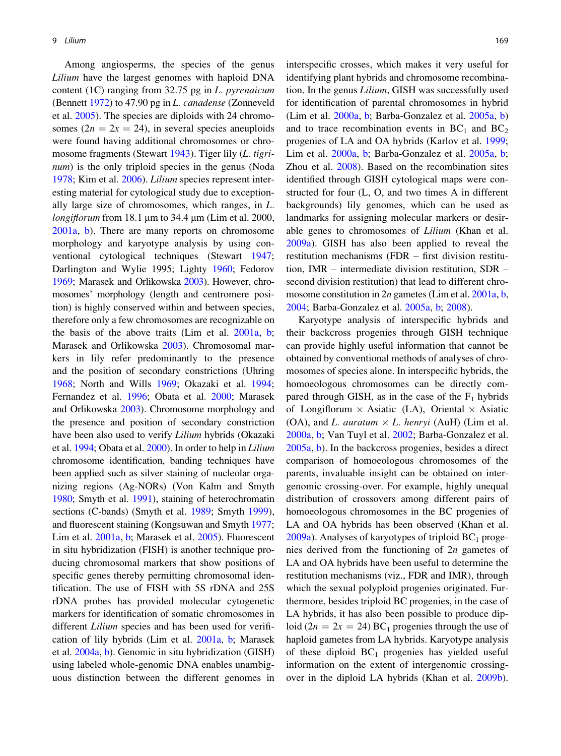Among angiosperms, the species of the genus Lilium have the largest genomes with haploid DNA content (1C) ranging from 32.75 pg in L. pyrenaicum (Bennett [1972\)](#page-18-0) to 47.90 pg in L. canadense (Zonneveld et al. [2005](#page-22-0)). The species are diploids with 24 chromosomes ( $2n = 2x = 24$ ), in several species aneuploids were found having additional chromosomes or chromosome fragments (Stewart [1943\)](#page-21-0). Tiger lily (L. tigrinum) is the only triploid species in the genus (Noda [1978;](#page-20-0) Kim et al. [2006\)](#page-19-0). Lilium species represent interesting material for cytological study due to exceptionally large size of chromosomes, which ranges, in L. longiflorum from 18.1  $\mu$ m to 34.4  $\mu$ m (Lim et al. 2000, [2001a](#page-19-0), [b](#page-19-0)). There are many reports on chromosome morphology and karyotype analysis by using conventional cytological techniques (Stewart [1947](#page-21-0); Darlington and Wylie 1995; Lighty [1960;](#page-19-0) Fedorov [1969;](#page-18-0) Marasek and Orlikowska [2003\)](#page-19-0). However, chromosomes' morphology (length and centromere position) is highly conserved within and between species, therefore only a few chromosomes are recognizable on the basis of the above traits (Lim et al. [2001a,](#page-19-0) [b](#page-19-0); Marasek and Orlikowska [2003](#page-19-0)). Chromosomal markers in lily refer predominantly to the presence and the position of secondary constrictions (Uhring [1968;](#page-21-0) North and Wills [1969;](#page-20-0) Okazaki et al. [1994](#page-20-0); Fernandez et al. [1996;](#page-18-0) Obata et al. [2000;](#page-20-0) Marasek and Orlikowska [2003](#page-19-0)). Chromosome morphology and the presence and position of secondary constriction have been also used to verify Lilium hybrids (Okazaki et al. [1994;](#page-20-0) Obata et al. [2000\)](#page-20-0). In order to help in Lilium chromosome identification, banding techniques have been applied such as silver staining of nucleolar organizing regions (Ag-NORs) (Von Kalm and Smyth [1980;](#page-22-0) Smyth et al. [1991\)](#page-21-0), staining of heterochromatin sections (C-bands) (Smyth et al. [1989;](#page-21-0) Smyth [1999](#page-21-0)), and fluorescent staining (Kongsuwan and Smyth [1977](#page-19-0); Lim et al. [2001a](#page-19-0), [b;](#page-19-0) Marasek et al. [2005\)](#page-20-0). Fluorescent in situ hybridization (FISH) is another technique producing chromosomal markers that show positions of specific genes thereby permitting chromosomal identification. The use of FISH with 5S rDNA and 25S rDNA probes has provided molecular cytogenetic markers for identification of somatic chromosomes in different *Lilium* species and has been used for verification of lily hybrids (Lim et al. [2001a,](#page-19-0) [b](#page-19-0); Marasek et al. [2004a,](#page-20-0) [b\)](#page-20-0). Genomic in situ hybridization (GISH) using labeled whole-genomic DNA enables unambiguous distinction between the different genomes in interspecific crosses, which makes it very useful for identifying plant hybrids and chromosome recombination. In the genus Lilium, GISH was successfully used for identification of parental chromosomes in hybrid (Lim et al. [2000a,](#page-19-0) [b;](#page-19-0) Barba-Gonzalez et al. [2005a](#page-17-0), [b\)](#page-17-0) and to trace recombination events in  $BC_1$  and  $BC_2$ progenies of LA and OA hybrids (Karlov et al. [1999](#page-19-0); Lim et al. [2000a,](#page-19-0) [b;](#page-19-0) Barba-Gonzalez et al. [2005a](#page-17-0), [b](#page-17-0); Zhou et al. [2008\)](#page-22-0). Based on the recombination sites identified through GISH cytological maps were constructed for four (L, O, and two times A in different backgrounds) lily genomes, which can be used as landmarks for assigning molecular markers or desirable genes to chromosomes of Lilium (Khan et al. [2009a\)](#page-19-0). GISH has also been applied to reveal the restitution mechanisms (FDR – first division restitution, IMR – intermediate division restitution, SDR – second division restitution) that lead to different chromosome constitution in 2*n* gametes (Lim et al. [2001a](#page-19-0), [b,](#page-19-0) [2004](#page-19-0); Barba-Gonzalez et al. [2005a,](#page-17-0) [b](#page-17-0); [2008\)](#page-17-0).

Karyotype analysis of interspecific hybrids and their backcross progenies through GISH technique can provide highly useful information that cannot be obtained by conventional methods of analyses of chromosomes of species alone. In interspecific hybrids, the homoeologous chromosomes can be directly compared through GISH, as in the case of the  $F_1$  hybrids of Longiflorum  $\times$  Asiatic (LA), Oriental  $\times$  Asiatic (OA), and L. auratum  $\times$  L. henryi (AuH) (Lim et al. [2000a,](#page-19-0) [b;](#page-19-0) Van Tuyl et al. [2002;](#page-22-0) Barba-Gonzalez et al. [2005a,](#page-17-0) [b\)](#page-17-0). In the backcross progenies, besides a direct comparison of homoeologous chromosomes of the parents, invaluable insight can be obtained on intergenomic crossing-over. For example, highly unequal distribution of crossovers among different pairs of homoeologous chromosomes in the BC progenies of LA and OA hybrids has been observed (Khan et al.  $2009a$ ). Analyses of karyotypes of triploid BC<sub>1</sub> progenies derived from the functioning of  $2n$  gametes of LA and OA hybrids have been useful to determine the restitution mechanisms (viz., FDR and IMR), through which the sexual polyploid progenies originated. Furthermore, besides triploid BC progenies, in the case of LA hybrids, it has also been possible to produce diploid (2n = 2x = 24) BC<sub>1</sub> progenies through the use of haploid gametes from LA hybrids. Karyotype analysis of these diploid  $BC_1$  progenies has yielded useful information on the extent of intergenomic crossingover in the diploid LA hybrids (Khan et al. [2009b](#page-19-0)).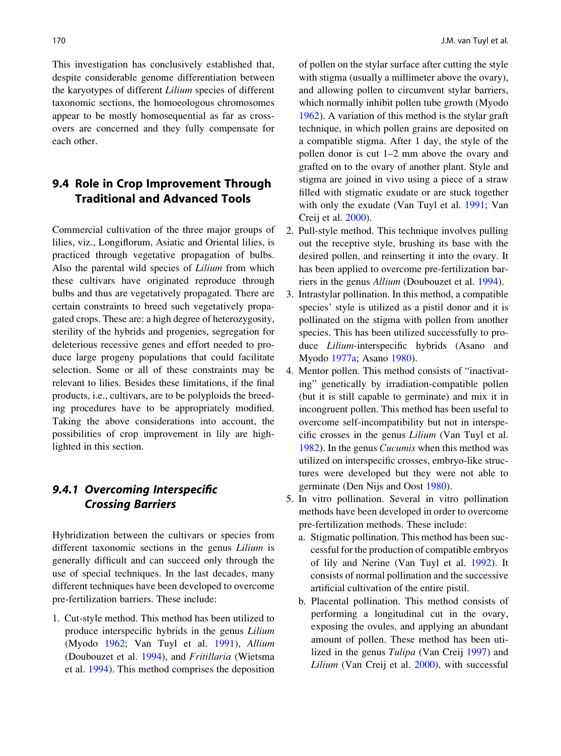This investigation has conclusively established that, despite considerable genome differentiation between the karyotypes of different Lilium species of different taxonomic sections, the homoeologous chromosomes appear to be mostly homosequential as far as crossovers are concerned and they fully compensate for each other.

## 9.4 Role in Crop Improvement Through Traditional and Advanced Tools

Commercial cultivation of the three major groups of lilies, viz., Longiflorum, Asiatic and Oriental lilies, is practiced through vegetative propagation of bulbs. Also the parental wild species of Lilium from which these cultivars have originated reproduce through bulbs and thus are vegetatively propagated. There are certain constraints to breed such vegetatively propagated crops. These are: a high degree of heterozygosity, sterility of the hybrids and progenies, segregation for deleterious recessive genes and effort needed to produce large progeny populations that could facilitate selection. Some or all of these constraints may be relevant to lilies. Besides these limitations, if the final products, i.e., cultivars, are to be polyploids the breeding procedures have to be appropriately modified. Taking the above considerations into account, the possibilities of crop improvement in lily are highlighted in this section.

## 9.4.1 Overcoming Interspecific Crossing Barriers

Hybridization between the cultivars or species from different taxonomic sections in the genus *Lilium* is generally difficult and can succeed only through the use of special techniques. In the last decades, many different techniques have been developed to overcome pre-fertilization barriers. These include:

1. Cut-style method. This method has been utilized to produce interspecific hybrids in the genus Lilium (Myodo [1962;](#page-20-0) Van Tuyl et al. [1991\)](#page-22-0), Allium (Doubouzet et al. [1994\)](#page-18-0), and Fritillaria (Wietsma et al. [1994](#page-22-0)). This method comprises the deposition of pollen on the stylar surface after cutting the style with stigma (usually a millimeter above the ovary), and allowing pollen to circumvent stylar barriers, which normally inhibit pollen tube growth (Myodo [1962\)](#page-20-0). A variation of this method is the stylar graft technique, in which pollen grains are deposited on a compatible stigma. After 1 day, the style of the pollen donor is cut 1–2 mm above the ovary and grafted on to the ovary of another plant. Style and stigma are joined in vivo using a piece of a straw filled with stigmatic exudate or are stuck together with only the exudate (Van Tuyl et al. [1991](#page-22-0); Van Creij et al. [2000](#page-21-0)).

- 2. Pull-style method. This technique involves pulling out the receptive style, brushing its base with the desired pollen, and reinserting it into the ovary. It has been applied to overcome pre-fertilization barriers in the genus Allium (Doubouzet et al. [1994](#page-18-0)).
- 3. Intrastylar pollination. In this method, a compatible species' style is utilized as a pistil donor and it is pollinated on the stigma with pollen from another species. This has been utilized successfully to produce Lilium-interspecific hybrids (Asano and Myodo [1977a;](#page-17-0) Asano [1980\)](#page-17-0).
- 4. Mentor pollen. This method consists of "inactivating" genetically by irradiation-compatible pollen (but it is still capable to germinate) and mix it in incongruent pollen. This method has been useful to overcome self-incompatibility but not in interspecific crosses in the genus Lilium (Van Tuyl et al. [1982\)](#page-22-0). In the genus Cucumis when this method was utilized on interspecific crosses, embryo-like structures were developed but they were not able to germinate (Den Nijs and Oost [1980\)](#page-18-0).
- 5. In vitro pollination. Several in vitro pollination methods have been developed in order to overcome pre-fertilization methods. These include:
	- a. Stigmatic pollination. This method has been successful for the production of compatible embryos of lily and Nerine (Van Tuyl et al. [1992](#page-22-0)). It consists of normal pollination and the successive artificial cultivation of the entire pistil.
	- b. Placental pollination. This method consists of performing a longitudinal cut in the ovary, exposing the ovules, and applying an abundant amount of pollen. These method has been utilized in the genus Tulipa (Van Creij [1997](#page-21-0)) and Lilium (Van Creij et al. [2000](#page-21-0)), with successful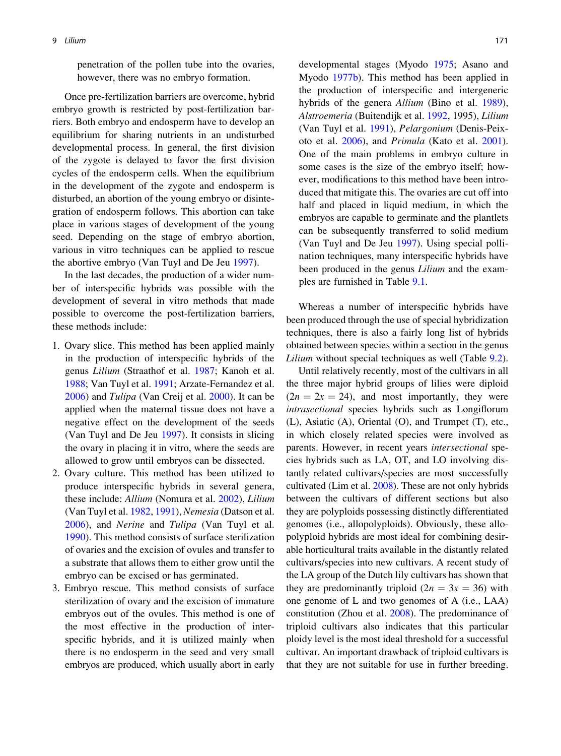penetration of the pollen tube into the ovaries, however, there was no embryo formation.

Once pre-fertilization barriers are overcome, hybrid embryo growth is restricted by post-fertilization barriers. Both embryo and endosperm have to develop an equilibrium for sharing nutrients in an undisturbed developmental process. In general, the first division of the zygote is delayed to favor the first division cycles of the endosperm cells. When the equilibrium in the development of the zygote and endosperm is disturbed, an abortion of the young embryo or disintegration of endosperm follows. This abortion can take place in various stages of development of the young seed. Depending on the stage of embryo abortion, various in vitro techniques can be applied to rescue the abortive embryo (Van Tuyl and De Jeu [1997](#page-22-0)).

In the last decades, the production of a wider number of interspecific hybrids was possible with the development of several in vitro methods that made possible to overcome the post-fertilization barriers, these methods include:

- 1. Ovary slice. This method has been applied mainly in the production of interspecific hybrids of the genus Lilium (Straathof et al. [1987;](#page-21-0) Kanoh et al. [1988](#page-19-0); Van Tuyl et al. [1991;](#page-22-0) Arzate-Fernandez et al. [2006](#page-17-0)) and Tulipa (Van Creij et al. [2000](#page-21-0)). It can be applied when the maternal tissue does not have a negative effect on the development of the seeds (Van Tuyl and De Jeu [1997](#page-22-0)). It consists in slicing the ovary in placing it in vitro, where the seeds are allowed to grow until embryos can be dissected.
- 2. Ovary culture. This method has been utilized to produce interspecific hybrids in several genera, these include: Allium (Nomura et al. [2002](#page-20-0)), Lilium (Van Tuyl et al. [1982](#page-22-0), [1991](#page-22-0)), Nemesia (Datson et al. [2006](#page-18-0)), and Nerine and Tulipa (Van Tuyl et al. [1990](#page-22-0)). This method consists of surface sterilization of ovaries and the excision of ovules and transfer to a substrate that allows them to either grow until the embryo can be excised or has germinated.
- 3. Embryo rescue. This method consists of surface sterilization of ovary and the excision of immature embryos out of the ovules. This method is one of the most effective in the production of interspecific hybrids, and it is utilized mainly when there is no endosperm in the seed and very small embryos are produced, which usually abort in early

developmental stages (Myodo [1975;](#page-20-0) Asano and Myodo [1977b](#page-17-0)). This method has been applied in the production of interspecific and intergeneric hybrids of the genera *Allium* (Bino et al. [1989](#page-18-0)), Alstroemeria (Buitendijk et al. [1992,](#page-18-0) 1995), Lilium (Van Tuyl et al. [1991\)](#page-22-0), Pelargonium (Denis-Peixoto et al. [2006](#page-18-0)), and Primula (Kato et al. [2001](#page-19-0)). One of the main problems in embryo culture in some cases is the size of the embryo itself; however, modifications to this method have been introduced that mitigate this. The ovaries are cut off into half and placed in liquid medium, in which the embryos are capable to germinate and the plantlets can be subsequently transferred to solid medium (Van Tuyl and De Jeu [1997\)](#page-22-0). Using special pollination techniques, many interspecific hybrids have been produced in the genus Lilium and the examples are furnished in Table [9.1.](#page-11-0)

Whereas a number of interspecific hybrids have been produced through the use of special hybridization techniques, there is also a fairly long list of hybrids obtained between species within a section in the genus Lilium without special techniques as well (Table [9.2](#page-12-0)).

Until relatively recently, most of the cultivars in all the three major hybrid groups of lilies were diploid  $(2n = 2x = 24)$ , and most importantly, they were intrasectional species hybrids such as Longiflorum (L), Asiatic (A), Oriental (O), and Trumpet (T), etc., in which closely related species were involved as parents. However, in recent years intersectional species hybrids such as LA, OT, and LO involving distantly related cultivars/species are most successfully cultivated (Lim et al. [2008](#page-19-0)). These are not only hybrids between the cultivars of different sections but also they are polyploids possessing distinctly differentiated genomes (i.e., allopolyploids). Obviously, these allopolyploid hybrids are most ideal for combining desirable horticultural traits available in the distantly related cultivars/species into new cultivars. A recent study of the LA group of the Dutch lily cultivars has shown that they are predominantly triploid  $(2n = 3x = 36)$  with one genome of L and two genomes of A (i.e., LAA) constitution (Zhou et al. [2008](#page-22-0)). The predominance of triploid cultivars also indicates that this particular ploidy level is the most ideal threshold for a successful cultivar. An important drawback of triploid cultivars is that they are not suitable for use in further breeding.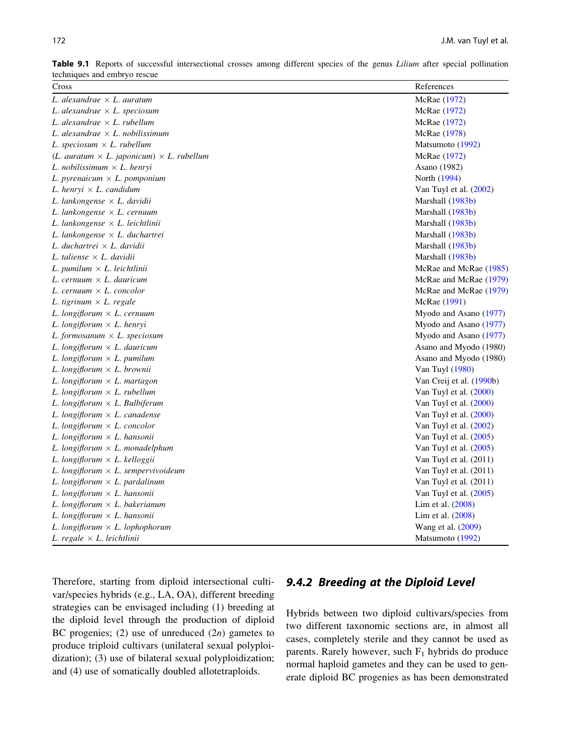| Cross                                                   | References               |
|---------------------------------------------------------|--------------------------|
| L. alexandrae $\times$ L. auratum                       | McRae (1972)             |
| L. alexandrae $\times$ L. speciosum                     | McRae (1972)             |
| L. alexandrae $\times$ L. rubellum                      | McRae (1972)             |
| L. alexandrae $\times$ L. nobilissimum                  | McRae (1978)             |
| L. speciosum $\times$ L. rubellum                       | Matsumoto (1992)         |
| (L. auratum $\times$ L. japonicum) $\times$ L. rubellum | McRae (1972)             |
| L. nobilissimum $\times$ L. henryi                      | Asano (1982)             |
| L. pyrenaicum $\times$ L. pomponium                     | North (1994)             |
| L. henryi $\times$ L. candidum                          | Van Tuyl et al. $(2002)$ |
| L. lankongense $\times$ L. davidii                      | Marshall (1983b)         |
| L. lankongense $\times$ L. cernuum                      | Marshall (1983b)         |
| L. lankongense $\times$ L. leichtlinii                  | Marshall (1983b)         |
| L. lankongense $\times$ L. duchartrei                   | Marshall (1983b)         |
| L. duchartrei $\times$ L. davidii                       | Marshall (1983b)         |
| L. taliense $\times$ L. davidii                         | Marshall (1983b)         |
| L. pumilum $\times$ L. leichtlinii                      | McRae and McRae (1985)   |
| L. cernuum $\times$ L. dauricum                         | McRae and McRae (1979)   |
| L. cernuum $\times$ L. concolor                         | McRae and McRae (1979)   |
| L. tigrinum $\times$ L. regale                          | McRae (1991)             |
| L. longiflorum $\times$ L. cernuum                      | Myodo and Asano (1977)   |
| L. longiflorum $\times$ L. henryi                       | Myodo and Asano (1977)   |
| L. formosanum $\times$ L. speciosum                     | Myodo and Asano (1977)   |
| L. longiflorum $\times$ L. dauricum                     | Asano and Myodo (1980)   |
| L. longiflorum $\times$ L. pumilum                      | Asano and Myodo (1980)   |
| L. longiflorum $\times$ L. brownii                      | Van Tuyl (1980)          |
| L. longiflorum $\times$ L. martagon                     | Van Creij et al. (1990b) |
| L. longiflorum $\times$ L. rubellum                     | Van Tuyl et al. (2000)   |
| L. longiflorum $\times$ L. Bulbiferum                   | Van Tuyl et al. (2000)   |
| L. longiflorum $\times$ L. canadense                    | Van Tuyl et al. (2000)   |
| L. longiflorum $\times$ L. concolor                     | Van Tuyl et al. (2002)   |
| L. longiflorum $\times$ L. hansonii                     | Van Tuyl et al. $(2005)$ |
| L. longiflorum $\times$ L. monadelphum                  | Van Tuyl et al. (2005)   |
| L. longiflorum $\times$ L. kelloggii                    | Van Tuyl et al. (2011)   |
| L. longiflorum $\times$ L. sempervivoideum              | Van Tuyl et al. (2011)   |
| L. longiflorum $\times$ L. pardalinum                   | Van Tuyl et al. (2011)   |
| L. longiflorum $\times$ L. hansonii                     | Van Tuyl et al. $(2005)$ |
| L. longiflorum $\times$ L. bakerianum                   | Lim et al. $(2008)$      |
| L. longiflorum $\times$ L. hansonii                     | Lim et al. $(2008)$      |
| L. longiflorum $\times$ L. lophophorum                  | Wang et al. (2009)       |
| L. regale $\times$ L. leichtlinii                       | Matsumoto (1992)         |

<span id="page-11-0"></span>Table 9.1 Reports of successful intersectional crosses among different species of the genus Lilium after special pollination techniques and embryo rescue

Therefore, starting from diploid intersectional cultivar/species hybrids (e.g., LA, OA), different breeding strategies can be envisaged including (1) breeding at the diploid level through the production of diploid BC progenies; (2) use of unreduced  $(2n)$  gametes to produce triploid cultivars (unilateral sexual polyploidization); (3) use of bilateral sexual polyploidization; and (4) use of somatically doubled allotetraploids.

### 9.4.2 Breeding at the Diploid Level

Hybrids between two diploid cultivars/species from two different taxonomic sections are, in almost all cases, completely sterile and they cannot be used as parents. Rarely however, such  $F_1$  hybrids do produce normal haploid gametes and they can be used to generate diploid BC progenies as has been demonstrated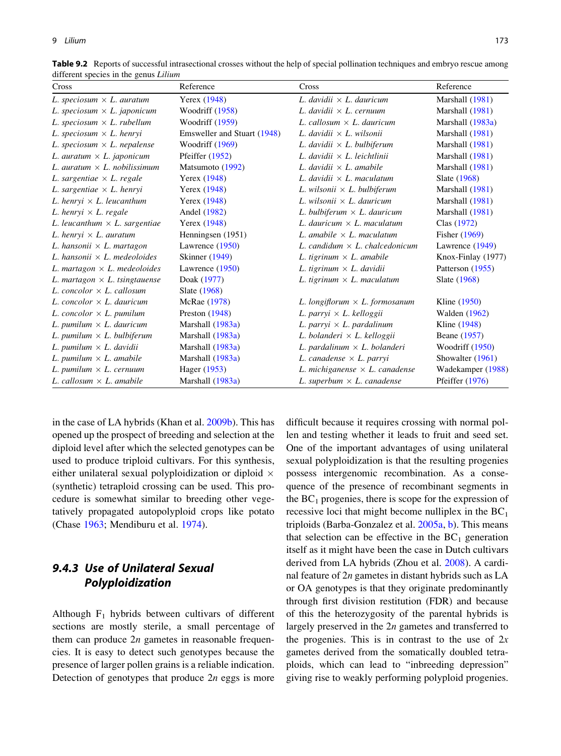| Cross                                | Reference                   | Cross                                 | Reference          |
|--------------------------------------|-----------------------------|---------------------------------------|--------------------|
| L. speciosum $\times$ L. auratum     | Yerex (1948)                | L. davidii $\times$ L. dauricum       | Marshall (1981)    |
| L. speciosum $\times$ L. japonicum   | Woodriff (1958)             | L. davidii $\times$ L. cernuum        | Marshall (1981)    |
| L. speciosum $\times$ L. rubellum    | Woodriff $(1959)$           | L. callosum $\times$ L. dauricum      | Marshall (1983a)   |
| L. speciosum $\times$ L. henryi      | Emsweller and Stuart (1948) | L. davidii $\times$ L. wilsonii       | Marshall (1981)    |
| L. speciosum $\times$ L. nepalense   | Woodriff $(1969)$           | L. davidii $\times$ L. bulbiferum     | Marshall (1981)    |
| L. auratum $\times$ L. japonicum     | Pfeiffer $(1952)$           | L. davidi $i \times L$ . leichtlinii  | Marshall (1981)    |
| L. auratum $\times$ L. nobilissimum  | Matsumoto (1992)            | L. davidii $\times$ L. amabile        | Marshall (1981)    |
| L. sargentiae $\times$ L. regale     | Yerex $(1948)$              | L. davidii $\times$ L. maculatum      | Slate (1968)       |
| L. sargentiae $\times$ L. henryi     | Yerex $(1948)$              | L. wilsonii $\times$ L. bulbiferum    | Marshall (1981)    |
| L. henryi $\times$ L. leucanthum     | Yerex (1948)                | L. wilsonii $\times$ L. dauricum      | Marshall (1981)    |
| L. henryi $\times$ L. regale         | Andel (1982)                | L. bulbiferum $\times$ L. dauricum    | Marshall (1981)    |
| L. leucanthum $\times$ L. sargentiae | Yerex $(1948)$              | L. dauricum $\times$ L. maculatum     | Clas (1972)        |
| L. henryi $\times$ L. auratum        | Henningsen (1951)           | L. amabile $\times$ L. maculatum      | Fisher $(1969)$    |
| L. hansonii $\times$ L. martagon     | Lawrence $(1950)$           | L. candidum $\times$ L. chalcedonicum | Lawrence (1949)    |
| L. hansonii $\times$ L. medeoloides  | <b>Skinner</b> (1949)       | L. tigrinum $\times$ L. amabile       | Knox-Finlay (1977) |
| L. martagon $\times$ L. medeoloides  | Lawrence $(1950)$           | L. tigrinum $\times$ L. davidii       | Patterson (1955)   |
| L. martagon $\times$ L. tsingtauense | Doak (1977)                 | L. tigrinum $\times$ L. maculatum     | Slate (1968)       |
| L. concolor $\times$ L. callosum     | Slate (1968)                |                                       |                    |
| L. concolor $\times$ L. dauricum     | McRae (1978)                | L. longiflorum $\times$ L. formosanum | Kline $(1950)$     |
| L. concolor $\times$ L. pumilum      | Preston $(1948)$            | L. parryi $\times$ L. kelloggii       | Walden $(1962)$    |
| L. pumilum $\times$ L. dauricum      | Marshall (1983a)            | L. parryi $\times$ L. pardalinum      | Kline (1948)       |
| L. pumilum $\times$ L. bulbiferum    | Marshall (1983a)            | L. bolanderi $\times$ L. kelloggii    | Beane (1957)       |
| L. pumilum $\times$ L. davidii       | Marshall (1983a)            | L. pardalinum $\times$ L. bolanderi   | Woodriff $(1950)$  |
| L. pumilum $\times$ L. amabile       | Marshall (1983a)            | L. canadense $\times$ L. parryi       | Showalter $(1961)$ |
| L. pumilum $\times$ L. cernuum       | Hager (1953)                | L. michiganense $\times$ L. canadense | Wadekamper (1988)  |
| L. callosum $\times$ L. amabile      | Marshall (1983a)            | L. superbum $\times$ L. canadense     | Pfeiffer $(1976)$  |

<span id="page-12-0"></span>Table 9.2 Reports of successful intrasectional crosses without the help of special pollination techniques and embryo rescue among different species in the genus Lilium

in the case of LA hybrids (Khan et al. [2009b\)](#page-19-0). This has opened up the prospect of breeding and selection at the diploid level after which the selected genotypes can be used to produce triploid cultivars. For this synthesis, either unilateral sexual polyploidization or diploid  $\times$ (synthetic) tetraploid crossing can be used. This procedure is somewhat similar to breeding other vegetatively propagated autopolyploid crops like potato (Chase [1963;](#page-18-0) Mendiburu et al. [1974\)](#page-20-0).

## 9.4.3 Use of Unilateral Sexual Polyploidization

Although  $F_1$  hybrids between cultivars of different sections are mostly sterile, a small percentage of them can produce  $2n$  gametes in reasonable frequencies. It is easy to detect such genotypes because the presence of larger pollen grains is a reliable indication. Detection of genotypes that produce  $2n$  eggs is more difficult because it requires crossing with normal pollen and testing whether it leads to fruit and seed set. One of the important advantages of using unilateral sexual polyploidization is that the resulting progenies possess intergenomic recombination. As a consequence of the presence of recombinant segments in the  $BC_1$  progenies, there is scope for the expression of recessive loci that might become nulliplex in the  $BC_1$ triploids (Bar[b](#page-17-0)a-Gonzalez et al.  $2005a$ , b). This means that selection can be effective in the  $BC<sub>1</sub>$  generation itself as it might have been the case in Dutch cultivars derived from LA hybrids (Zhou et al. [2008\)](#page-22-0). A cardinal feature of  $2n$  gametes in distant hybrids such as LA or OA genotypes is that they originate predominantly through first division restitution (FDR) and because of this the heterozygosity of the parental hybrids is largely preserved in the 2n gametes and transferred to the progenies. This is in contrast to the use of  $2x$ gametes derived from the somatically doubled tetraploids, which can lead to "inbreeding depression" giving rise to weakly performing polyploid progenies.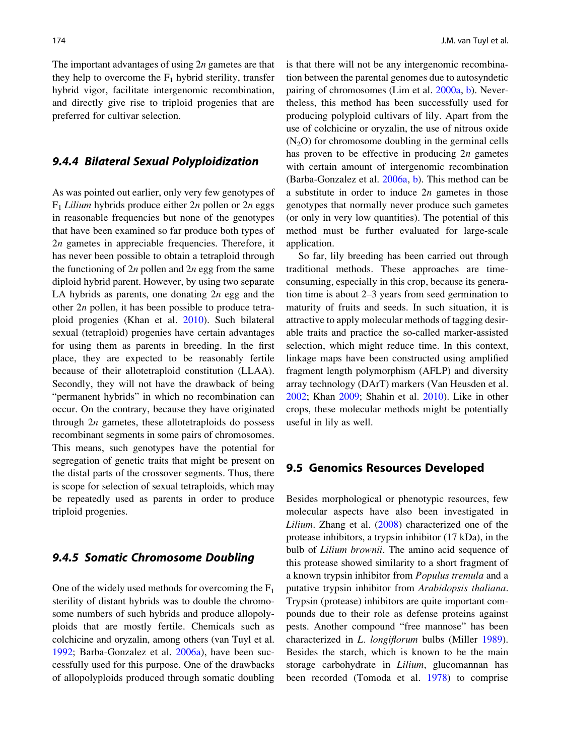The important advantages of using 2n gametes are that they help to overcome the  $F_1$  hybrid sterility, transfer hybrid vigor, facilitate intergenomic recombination, and directly give rise to triploid progenies that are preferred for cultivar selection.

### 9.4.4 Bilateral Sexual Polyploidization

As was pointed out earlier, only very few genotypes of  $F_1$  Lilium hybrids produce either  $2n$  pollen or  $2n$  eggs in reasonable frequencies but none of the genotypes that have been examined so far produce both types of 2n gametes in appreciable frequencies. Therefore, it has never been possible to obtain a tetraploid through the functioning of  $2n$  pollen and  $2n$  egg from the same diploid hybrid parent. However, by using two separate LA hybrids as parents, one donating  $2n$  egg and the other 2n pollen, it has been possible to produce tetraploid progenies (Khan et al. [2010\)](#page-19-0). Such bilateral sexual (tetraploid) progenies have certain advantages for using them as parents in breeding. In the first place, they are expected to be reasonably fertile because of their allotetraploid constitution (LLAA). Secondly, they will not have the drawback of being "permanent hybrids" in which no recombination can occur. On the contrary, because they have originated through  $2n$  gametes, these allotetraploids do possess recombinant segments in some pairs of chromosomes. This means, such genotypes have the potential for segregation of genetic traits that might be present on the distal parts of the crossover segments. Thus, there is scope for selection of sexual tetraploids, which may be repeatedly used as parents in order to produce triploid progenies.

### 9.4.5 Somatic Chromosome Doubling

One of the widely used methods for overcoming the  $F_1$ sterility of distant hybrids was to double the chromosome numbers of such hybrids and produce allopolyploids that are mostly fertile. Chemicals such as colchicine and oryzalin, among others (van Tuyl et al. [1992;](#page-22-0) Barba-Gonzalez et al. [2006a\)](#page-17-0), have been successfully used for this purpose. One of the drawbacks of allopolyploids produced through somatic doubling is that there will not be any intergenomic recombination between the parental genomes due to autosyndetic pairing of chromosomes (Lim et al. [2000a,](#page-19-0) [b\)](#page-19-0). Nevertheless, this method has been successfully used for producing polyploid cultivars of lily. Apart from the use of colchicine or oryzalin, the use of nitrous oxide  $(N_2O)$  for chromosome doubling in the germinal cells has proven to be effective in producing  $2n$  gametes with certain amount of intergenomic recombination (Barba-Gonzalez et al. [2006a,](#page-17-0) [b\)](#page-17-0). This method can be a substitute in order to induce  $2n$  gametes in those genotypes that normally never produce such gametes (or only in very low quantities). The potential of this method must be further evaluated for large-scale application.

So far, lily breeding has been carried out through traditional methods. These approaches are timeconsuming, especially in this crop, because its generation time is about 2–3 years from seed germination to maturity of fruits and seeds. In such situation, it is attractive to apply molecular methods of tagging desirable traits and practice the so-called marker-assisted selection, which might reduce time. In this context, linkage maps have been constructed using amplified fragment length polymorphism (AFLP) and diversity array technology (DArT) markers (Van Heusden et al. [2002](#page-21-0); Khan [2009;](#page-19-0) Shahin et al. [2010\)](#page-21-0). Like in other crops, these molecular methods might be potentially useful in lily as well.

## 9.5 Genomics Resources Developed

Besides morphological or phenotypic resources, few molecular aspects have also been investigated in Lilium. Zhang et al. ([2008\)](#page-22-0) characterized one of the protease inhibitors, a trypsin inhibitor (17 kDa), in the bulb of Lilium brownii. The amino acid sequence of this protease showed similarity to a short fragment of a known trypsin inhibitor from Populus tremula and a putative trypsin inhibitor from Arabidopsis thaliana. Trypsin (protease) inhibitors are quite important compounds due to their role as defense proteins against pests. Another compound "free mannose" has been characterized in L. longiflorum bulbs (Miller [1989](#page-20-0)). Besides the starch, which is known to be the main storage carbohydrate in Lilium, glucomannan has been recorded (Tomoda et al. [1978](#page-21-0)) to comprise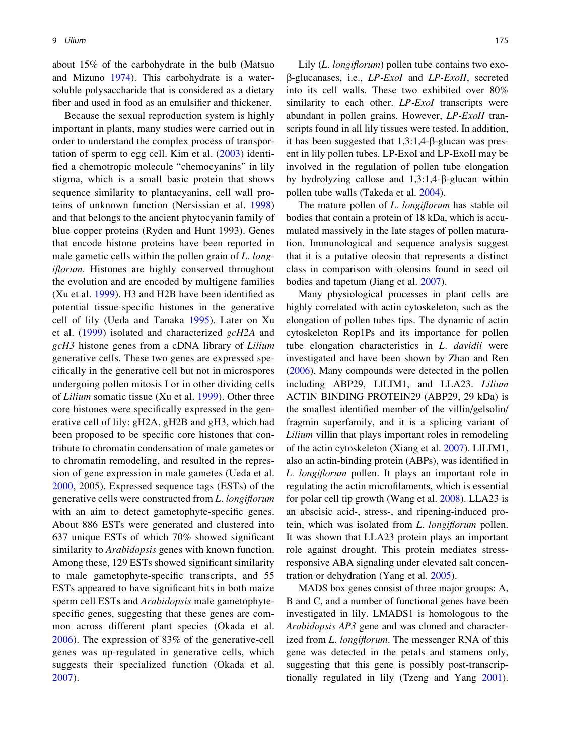about 15% of the carbohydrate in the bulb (Matsuo and Mizuno [1974\)](#page-20-0). This carbohydrate is a watersoluble polysaccharide that is considered as a dietary fiber and used in food as an emulsifier and thickener.

Because the sexual reproduction system is highly important in plants, many studies were carried out in order to understand the complex process of transportation of sperm to egg cell. Kim et al.  $(2003)$  identified a chemotropic molecule "chemocyanins" in lily stigma, which is a small basic protein that shows sequence similarity to plantacyanins, cell wall proteins of unknown function (Nersissian et al. [1998\)](#page-20-0) and that belongs to the ancient phytocyanin family of blue copper proteins (Ryden and Hunt 1993). Genes that encode histone proteins have been reported in male gametic cells within the pollen grain of *L. long*iflorum. Histones are highly conserved throughout the evolution and are encoded by multigene families (Xu et al. [1999](#page-22-0)). H3 and H2B have been identified as potential tissue-specific histones in the generative cell of lily (Ueda and Tanaka [1995\)](#page-21-0). Later on Xu et al. ([1999](#page-22-0)) isolated and characterized gcH2A and gcH3 histone genes from a cDNA library of Lilium generative cells. These two genes are expressed specifically in the generative cell but not in microspores undergoing pollen mitosis I or in other dividing cells of Lilium somatic tissue (Xu et al. [1999](#page-22-0)). Other three core histones were specifically expressed in the generative cell of lily: gH2A, gH2B and gH3, which had been proposed to be specific core histones that contribute to chromatin condensation of male gametes or to chromatin remodeling, and resulted in the repression of gene expression in male gametes (Ueda et al. [2000](#page-21-0), 2005). Expressed sequence tags (ESTs) of the generative cells were constructed from L. longiflorum with an aim to detect gametophyte-specific genes. About 886 ESTs were generated and clustered into 637 unique ESTs of which 70% showed significant similarity to *Arabidopsis* genes with known function. Among these, 129 ESTs showed significant similarity to male gametophyte-specific transcripts, and 55 ESTs appeared to have significant hits in both maize sperm cell ESTs and Arabidopsis male gametophytespecific genes, suggesting that these genes are common across different plant species (Okada et al. [2006](#page-20-0)). The expression of 83% of the generative-cell genes was up-regulated in generative cells, which suggests their specialized function (Okada et al. [2007](#page-20-0)).

Lily (*L. longiflorum*) pollen tube contains two exo- $\beta$ -glucanases, i.e., *LP-ExoI* and *LP-ExoII*, secreted into its cell walls. These two exhibited over 80% similarity to each other. LP-ExoI transcripts were abundant in pollen grains. However, LP-ExoII transcripts found in all lily tissues were tested. In addition, it has been suggested that  $1,3:1,4$ - $\beta$ -glucan was present in lily pollen tubes. LP-ExoI and LP-ExoII may be involved in the regulation of pollen tube elongation by hydrolyzing callose and  $1,3:1,4$ - $\beta$ -glucan within pollen tube walls (Takeda et al. [2004](#page-21-0)).

The mature pollen of L. *longiflorum* has stable oil bodies that contain a protein of 18 kDa, which is accumulated massively in the late stages of pollen maturation. Immunological and sequence analysis suggest that it is a putative oleosin that represents a distinct class in comparison with oleosins found in seed oil bodies and tapetum (Jiang et al. [2007](#page-19-0)).

Many physiological processes in plant cells are highly correlated with actin cytoskeleton, such as the elongation of pollen tubes tips. The dynamic of actin cytoskeleton Rop1Ps and its importance for pollen tube elongation characteristics in *L. davidii* were investigated and have been shown by Zhao and Ren ([2006\)](#page-22-0). Many compounds were detected in the pollen including ABP29, LlLIM1, and LLA23. Lilium ACTIN BINDING PROTEIN29 (ABP29, 29 kDa) is the smallest identified member of the villin/gelsolin/ fragmin superfamily, and it is a splicing variant of Lilium villin that plays important roles in remodeling of the actin cytoskeleton (Xiang et al. [2007\)](#page-22-0). LlLIM1, also an actin-binding protein (ABPs), was identified in L. longiflorum pollen. It plays an important role in regulating the actin microfilaments, which is essential for polar cell tip growth (Wang et al. [2008](#page-22-0)). LLA23 is an abscisic acid-, stress-, and ripening-induced protein, which was isolated from *L. longiflorum* pollen. It was shown that LLA23 protein plays an important role against drought. This protein mediates stressresponsive ABA signaling under elevated salt concentration or dehydration (Yang et al. [2005](#page-22-0)).

MADS box genes consist of three major groups: A, B and C, and a number of functional genes have been investigated in lily. LMADS1 is homologous to the Arabidopsis AP3 gene and was cloned and characterized from *L. longiflorum*. The messenger RNA of this gene was detected in the petals and stamens only, suggesting that this gene is possibly post-transcriptionally regulated in lily (Tzeng and Yang [2001](#page-21-0)).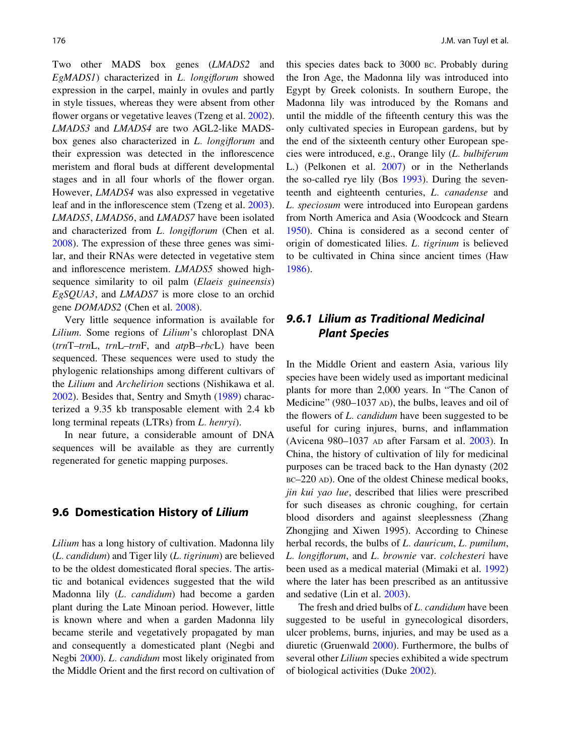Two other MADS box genes (LMADS2 and EgMADS1) characterized in L. longiflorum showed expression in the carpel, mainly in ovules and partly in style tissues, whereas they were absent from other flower organs or vegetative leaves (Tzeng et al. [2002](#page-21-0)). LMADS3 and LMADS4 are two AGL2-like MADSbox genes also characterized in L. longiflorum and their expression was detected in the inflorescence meristem and floral buds at different developmental stages and in all four whorls of the flower organ. However, LMADS4 was also expressed in vegetative leaf and in the inflorescence stem (Tzeng et al. [2003](#page-21-0)). LMADS5, LMADS6, and LMADS7 have been isolated and characterized from L. longiflorum (Chen et al. [2008\)](#page-18-0). The expression of these three genes was similar, and their RNAs were detected in vegetative stem and inflorescence meristem. LMADS5 showed highsequence similarity to oil palm (Elaeis guineensis) EgSQUA3, and LMADS7 is more close to an orchid gene DOMADS2 (Chen et al. [2008](#page-18-0)).

Very little sequence information is available for Lilium. Some regions of Lilium's chloroplast DNA (trnT–trnL, trnL–trnF, and atpB–rbcL) have been sequenced. These sequences were used to study the phylogenic relationships among different cultivars of the Lilium and Archelirion sections (Nishikawa et al. [2002\)](#page-20-0). Besides that, Sentry and Smyth [\(1989](#page-21-0)) characterized a 9.35 kb transposable element with 2.4 kb long terminal repeats (LTRs) from L. henryi).

In near future, a considerable amount of DNA sequences will be available as they are currently regenerated for genetic mapping purposes.

### 9.6 Domestication History of Lilium

Lilium has a long history of cultivation. Madonna lily (L. candidum) and Tiger lily (L. tigrinum) are believed to be the oldest domesticated floral species. The artistic and botanical evidences suggested that the wild Madonna lily (L. candidum) had become a garden plant during the Late Minoan period. However, little is known where and when a garden Madonna lily became sterile and vegetatively propagated by man and consequently a domesticated plant (Negbi and Negbi [2000\)](#page-20-0). L. candidum most likely originated from the Middle Orient and the first record on cultivation of this species dates back to 3000 BC. Probably during the Iron Age, the Madonna lily was introduced into Egypt by Greek colonists. In southern Europe, the Madonna lily was introduced by the Romans and until the middle of the fifteenth century this was the only cultivated species in European gardens, but by the end of the sixteenth century other European species were introduced, e.g., Orange lily (L. bulbiferum L.) (Pelkonen et al. [2007](#page-20-0)) or in the Netherlands the so-called rye lily (Bos [1993\)](#page-18-0). During the seventeenth and eighteenth centuries, L. canadense and L. speciosum were introduced into European gardens from North America and Asia (Woodcock and Stearn [1950](#page-22-0)). China is considered as a second center of origin of domesticated lilies. L. tigrinum is believed to be cultivated in China since ancient times (Haw [1986](#page-18-0)).

## 9.6.1 Lilium as Traditional Medicinal Plant Species

In the Middle Orient and eastern Asia, various lily species have been widely used as important medicinal plants for more than 2,000 years. In "The Canon of Medicine" (980–1037 AD), the bulbs, leaves and oil of the flowers of L. candidum have been suggested to be useful for curing injures, burns, and inflammation (Avicena 980–1037 AD after Farsam et al. [2003](#page-18-0)). In China, the history of cultivation of lily for medicinal purposes can be traced back to the Han dynasty (202 BC–220 AD). One of the oldest Chinese medical books, jin kui yao lue, described that lilies were prescribed for such diseases as chronic coughing, for certain blood disorders and against sleeplessness (Zhang Zhongjing and Xiwen 1995). According to Chinese herbal records, the bulbs of L. dauricum, L. pumilum, L. longiflorum, and L. brownie var. colchesteri have been used as a medical material (Mimaki et al. [1992\)](#page-20-0) where the later has been prescribed as an antitussive and sedative (Lin et al. [2003\)](#page-19-0).

The fresh and dried bulbs of L. candidum have been suggested to be useful in gynecological disorders, ulcer problems, burns, injuries, and may be used as a diuretic (Gruenwald [2000\)](#page-18-0). Furthermore, the bulbs of several other Lilium species exhibited a wide spectrum of biological activities (Duke [2002](#page-18-0)).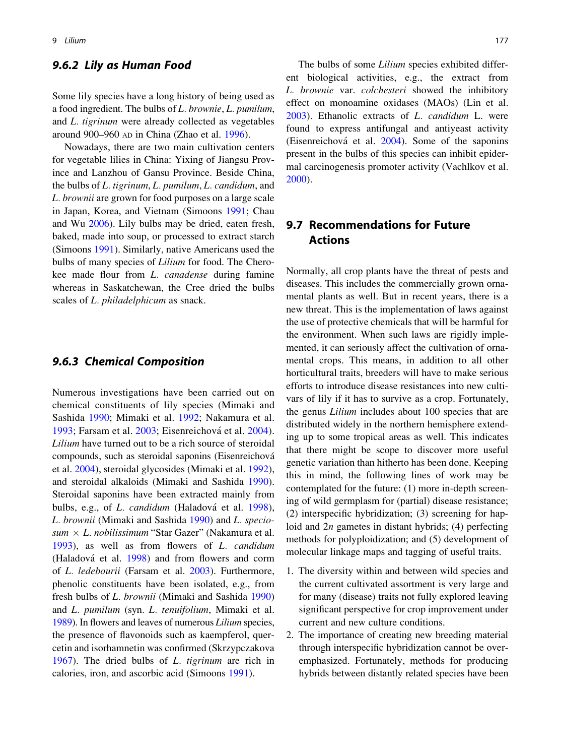### 9.6.2 Lily as Human Food

Some lily species have a long history of being used as a food ingredient. The bulbs of L. brownie, L. pumilum, and L. tigrinum were already collected as vegetables around 900–960 AD in China (Zhao et al. [1996\)](#page-22-0).

Nowadays, there are two main cultivation centers for vegetable lilies in China: Yixing of Jiangsu Province and Lanzhou of Gansu Province. Beside China, the bulbs of L. tigrinum, L. pumilum, L. candidum, and L. brownii are grown for food purposes on a large scale in Japan, Korea, and Vietnam (Simoons [1991](#page-21-0); Chau and Wu [2006\)](#page-18-0). Lily bulbs may be dried, eaten fresh, baked, made into soup, or processed to extract starch (Simoons [1991\)](#page-21-0). Similarly, native Americans used the bulbs of many species of Lilium for food. The Cherokee made flour from L. canadense during famine whereas in Saskatchewan, the Cree dried the bulbs scales of L. philadelphicum as snack.

### 9.6.3 Chemical Composition

Numerous investigations have been carried out on chemical constituents of lily species (Mimaki and Sashida [1990;](#page-20-0) Mimaki et al. [1992](#page-20-0); Nakamura et al. [1993](#page-20-0); Farsam et al. [2003;](#page-18-0) Eisenreichová et al. [2004\)](#page-18-0). Lilium have turned out to be a rich source of steroidal compounds, such as steroidal saponins (Eisenreichová et al. [2004\)](#page-18-0), steroidal glycosides (Mimaki et al. [1992](#page-20-0)), and steroidal alkaloids (Mimaki and Sashida [1990](#page-20-0)). Steroidal saponins have been extracted mainly from bulbs, e.g., of *L. candidum* (Haladová et al. [1998](#page-18-0)), L. brownii (Mimaki and Sashida [1990\)](#page-20-0) and L. speciosum  $\times$  L. nobilissimum "Star Gazer" (Nakamura et al. [1993\)](#page-20-0), as well as from flowers of L. candidum (Haladová et al.  $1998$ ) and from flowers and corm of L. ledebourii (Farsam et al. [2003](#page-18-0)). Furthermore, phenolic constituents have been isolated, e.g., from fresh bulbs of L. brownii (Mimaki and Sashida [1990\)](#page-20-0) and L. pumilum (syn. L. tenuifolium, Mimaki et al. [1989](#page-20-0)). In flowers and leaves of numerous Lilium species, the presence of flavonoids such as kaempferol, quercetin and isorhamnetin was confirmed (Skrzypczakova [1967\)](#page-21-0). The dried bulbs of L. tigrinum are rich in calories, iron, and ascorbic acid (Simoons [1991\)](#page-21-0).

The bulbs of some *Lilium* species exhibited different biological activities, e.g., the extract from L. brownie var. colchesteri showed the inhibitory effect on monoamine oxidases (MAOs) (Lin et al. [2003](#page-19-0)). Ethanolic extracts of L. candidum L. were found to express antifungal and antiyeast activity (Eisenreichová et al. [2004\)](#page-18-0). Some of the saponins present in the bulbs of this species can inhibit epidermal carcinogenesis promoter activity (Vachlkov et al. [2000](#page-21-0)).

## 9.7 Recommendations for Future Actions

Normally, all crop plants have the threat of pests and diseases. This includes the commercially grown ornamental plants as well. But in recent years, there is a new threat. This is the implementation of laws against the use of protective chemicals that will be harmful for the environment. When such laws are rigidly implemented, it can seriously affect the cultivation of ornamental crops. This means, in addition to all other horticultural traits, breeders will have to make serious efforts to introduce disease resistances into new cultivars of lily if it has to survive as a crop. Fortunately, the genus Lilium includes about 100 species that are distributed widely in the northern hemisphere extending up to some tropical areas as well. This indicates that there might be scope to discover more useful genetic variation than hitherto has been done. Keeping this in mind, the following lines of work may be contemplated for the future: (1) more in-depth screening of wild germplasm for (partial) disease resistance; (2) interspecific hybridization; (3) screening for haploid and 2n gametes in distant hybrids; (4) perfecting methods for polyploidization; and (5) development of molecular linkage maps and tagging of useful traits.

- 1. The diversity within and between wild species and the current cultivated assortment is very large and for many (disease) traits not fully explored leaving significant perspective for crop improvement under current and new culture conditions.
- 2. The importance of creating new breeding material through interspecific hybridization cannot be overemphasized. Fortunately, methods for producing hybrids between distantly related species have been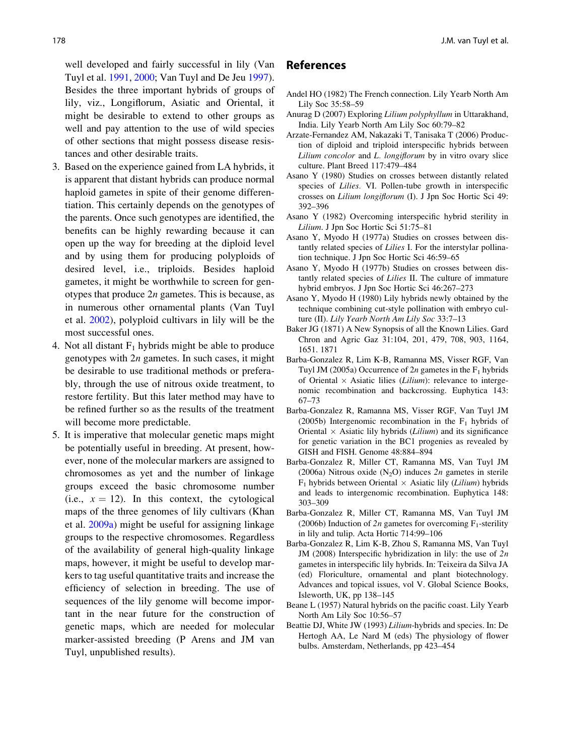<span id="page-17-0"></span>well developed and fairly successful in lily (Van Tuyl et al. [1991](#page-22-0), [2000;](#page-22-0) Van Tuyl and De Jeu [1997](#page-22-0)). Besides the three important hybrids of groups of lily, viz., Longiflorum, Asiatic and Oriental, it might be desirable to extend to other groups as well and pay attention to the use of wild species of other sections that might possess disease resistances and other desirable traits.

- 3. Based on the experience gained from LA hybrids, it is apparent that distant hybrids can produce normal haploid gametes in spite of their genome differentiation. This certainly depends on the genotypes of the parents. Once such genotypes are identified, the benefits can be highly rewarding because it can open up the way for breeding at the diploid level and by using them for producing polyploids of desired level, i.e., triploids. Besides haploid gametes, it might be worthwhile to screen for genotypes that produce  $2n$  gametes. This is because, as in numerous other ornamental plants (Van Tuyl et al. [2002](#page-22-0)), polyploid cultivars in lily will be the most successful ones.
- 4. Not all distant  $F_1$  hybrids might be able to produce genotypes with 2n gametes. In such cases, it might be desirable to use traditional methods or preferably, through the use of nitrous oxide treatment, to restore fertility. But this later method may have to be refined further so as the results of the treatment will become more predictable.
- 5. It is imperative that molecular genetic maps might be potentially useful in breeding. At present, however, none of the molecular markers are assigned to chromosomes as yet and the number of linkage groups exceed the basic chromosome number (i.e.,  $x = 12$ ). In this context, the cytological maps of the three genomes of lily cultivars (Khan et al. [2009a\)](#page-19-0) might be useful for assigning linkage groups to the respective chromosomes. Regardless of the availability of general high-quality linkage maps, however, it might be useful to develop markers to tag useful quantitative traits and increase the efficiency of selection in breeding. The use of sequences of the lily genome will become important in the near future for the construction of genetic maps, which are needed for molecular marker-assisted breeding (P Arens and JM van Tuyl, unpublished results).

## References

- Andel HO (1982) The French connection. Lily Yearb North Am Lily Soc 35:58–59
- Anurag D (2007) Exploring Lilium polyphyllum in Uttarakhand, India. Lily Yearb North Am Lily Soc 60:79–82
- Arzate-Fernandez AM, Nakazaki T, Tanisaka T (2006) Production of diploid and triploid interspecific hybrids between Lilium concolor and L. longiflorum by in vitro ovary slice culture. Plant Breed 117:479–484
- Asano Y (1980) Studies on crosses between distantly related species of Lilies. VI. Pollen-tube growth in interspecific crosses on Lilium longiflorum (I). J Jpn Soc Hortic Sci 49: 392–396
- Asano Y (1982) Overcoming interspecific hybrid sterility in Lilium. J Jpn Soc Hortic Sci 51:75–81
- Asano Y, Myodo H (1977a) Studies on crosses between distantly related species of Lilies I. For the interstylar pollination technique. J Jpn Soc Hortic Sci 46:59–65
- Asano Y, Myodo H (1977b) Studies on crosses between distantly related species of Lilies II. The culture of immature hybrid embryos. J Jpn Soc Hortic Sci 46:267–273
- Asano Y, Myodo H (1980) Lily hybrids newly obtained by the technique combining cut-style pollination with embryo culture (II). Lily Yearb North Am Lily Soc 33:7–13
- Baker JG (1871) A New Synopsis of all the Known Lilies. Gard Chron and Agric Gaz 31:104, 201, 479, 708, 903, 1164, 1651. 1871
- Barba-Gonzalez R, Lim K-B, Ramanna MS, Visser RGF, Van Tuyl JM (2005a) Occurrence of  $2n$  gametes in the  $F_1$  hybrids of Oriental  $\times$  Asiatic lilies (*Lilium*): relevance to intergenomic recombination and backcrossing. Euphytica 143: 67–73
- Barba-Gonzalez R, Ramanna MS, Visser RGF, Van Tuyl JM (2005b) Intergenomic recombination in the  $F_1$  hybrids of Oriental  $\times$  Asiatic lily hybrids (*Lilium*) and its significance for genetic variation in the BC1 progenies as revealed by GISH and FISH. Genome 48:884–894
- Barba-Gonzalez R, Miller CT, Ramanna MS, Van Tuyl JM (2006a) Nitrous oxide (N<sub>2</sub>O) induces  $2n$  gametes in sterile  $F_1$  hybrids between Oriental  $\times$  Asiatic lily (Lilium) hybrids and leads to intergenomic recombination. Euphytica 148: 303–309
- Barba-Gonzalez R, Miller CT, Ramanna MS, Van Tuyl JM (2006b) Induction of  $2n$  gametes for overcoming  $F_1$ -sterility in lily and tulip. Acta Hortic 714:99–106
- Barba-Gonzalez R, Lim K-B, Zhou S, Ramanna MS, Van Tuyl JM (2008) Interspecific hybridization in lily: the use of  $2n$ gametes in interspecific lily hybrids. In: Teixeira da Silva JA (ed) Floriculture, ornamental and plant biotechnology. Advances and topical issues, vol V. Global Science Books, Isleworth, UK, pp 138–145
- Beane L (1957) Natural hybrids on the pacific coast. Lily Yearb North Am Lily Soc 10:56–57
- Beattie DJ, White JW (1993) Lilium-hybrids and species. In: De Hertogh AA, Le Nard M (eds) The physiology of flower bulbs. Amsterdam, Netherlands, pp 423–454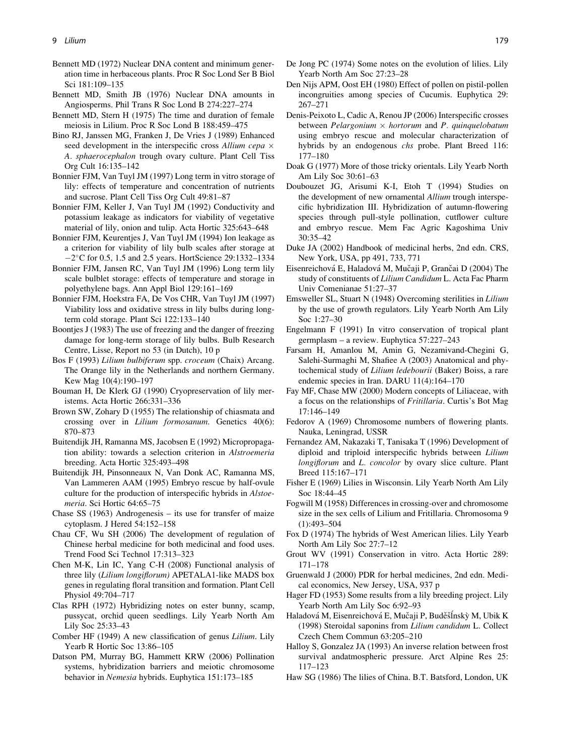- <span id="page-18-0"></span>Bennett MD (1972) Nuclear DNA content and minimum generation time in herbaceous plants. Proc R Soc Lond Ser B Biol Sci 181:109–135
- Bennett MD, Smith JB (1976) Nuclear DNA amounts in Angiosperms. Phil Trans R Soc Lond B 274:227–274
- Bennett MD, Stern H (1975) The time and duration of female meiosis in Lilium. Proc R Soc Lond B 188:459–475
- Bino RJ, Janssen MG, Franken J, De Vries J (1989) Enhanced seed development in the interspecific cross Allium cepa  $\times$ A. sphaerocephalon trough ovary culture. Plant Cell Tiss Org Cult 16:135–142
- Bonnier FJM, Van Tuyl JM (1997) Long term in vitro storage of lily: effects of temperature and concentration of nutrients and sucrose. Plant Cell Tiss Org Cult 49:81–87
- Bonnier FJM, Keller J, Van Tuyl JM (1992) Conductivity and potassium leakage as indicators for viability of vegetative material of lily, onion and tulip. Acta Hortic 325:643–648
- Bonnier FJM, Keurentjes J, Van Tuyl JM (1994) Ion leakage as a criterion for viability of lily bulb scales after storage at  $-2$ °C for 0.5, 1.5 and 2.5 years. HortScience 29:1332–1334
- Bonnier FJM, Jansen RC, Van Tuyl JM (1996) Long term lily scale bulblet storage: effects of temperature and storage in polyethylene bags. Ann Appl Biol 129:161–169
- Bonnier FJM, Hoekstra FA, De Vos CHR, Van Tuyl JM (1997) Viability loss and oxidative stress in lily bulbs during longterm cold storage. Plant Sci 122:133–140
- Boontjes J (1983) The use of freezing and the danger of freezing damage for long-term storage of lily bulbs. Bulb Research Centre, Lisse, Report no 53 (in Dutch), 10 p
- Bos F (1993) Lilium bulbiferum spp. croceum (Chaix) Arcang. The Orange lily in the Netherlands and northern Germany. Kew Mag 10(4):190–197
- Bouman H, De Klerk GJ (1990) Cryopreservation of lily meristems. Acta Hortic 266:331–336
- Brown SW, Zohary D (1955) The relationship of chiasmata and crossing over in Lilium formosanum. Genetics 40(6): 870–873
- Buitendijk JH, Ramanna MS, Jacobsen E (1992) Micropropagation ability: towards a selection criterion in Alstroemeria breeding. Acta Hortic 325:493–498
- Buitendijk JH, Pinsonneaux N, Van Donk AC, Ramanna MS, Van Lammeren AAM (1995) Embryo rescue by half-ovule culture for the production of interspecific hybrids in Alstoemeria. Sci Hortic 64:65–75
- Chase SS (1963) Androgenesis its use for transfer of maize cytoplasm. J Hered 54:152–158
- Chau CF, Wu SH (2006) The development of regulation of Chinese herbal medicine for both medicinal and food uses. Trend Food Sci Technol 17:313–323
- Chen M-K, Lin IC, Yang C-H (2008) Functional analysis of three lily (Lilium longiflorum) APETALA1-like MADS box genes in regulating floral transition and formation. Plant Cell Physiol 49:704–717
- Clas RPH (1972) Hybridizing notes on ester bunny, scamp, pussycat, orchid queen seedlings. Lily Yearb North Am Lily Soc 25:33–43
- Comber HF (1949) A new classification of genus Lilium. Lily Yearb R Hortic Soc 13:86–105
- Datson PM, Murray BG, Hammett KRW (2006) Pollination systems, hybridization barriers and meiotic chromosome behavior in Nemesia hybrids. Euphytica 151:173–185
- De Jong PC (1974) Some notes on the evolution of lilies. Lily Yearb North Am Soc 27:23–28
- Den Nijs APM, Oost EH (1980) Effect of pollen on pistil-pollen incongruities among species of Cucumis. Euphytica 29: 267–271
- Denis-Peixoto L, Cadic A, Renou JP (2006) Interspecific crosses between Pelargonium  $\times$  hortorum and P. quinquelobatum using embryo rescue and molecular characterization of hybrids by an endogenous chs probe. Plant Breed 116: 177–180
- Doak G (1977) More of those tricky orientals. Lily Yearb North Am Lily Soc 30:61–63
- Doubouzet JG, Arisumi K-I, Etoh T (1994) Studies on the development of new ornamental Allium trough interspecific hybridization III. Hybridization of autumn-flowering species through pull-style pollination, cutflower culture and embryo rescue. Mem Fac Agric Kagoshima Univ 30:35–42
- Duke JA (2002) Handbook of medicinal herbs, 2nd edn. CRS, New York, USA, pp 491, 733, 771
- Eisenreichová E, Haladová M, Mučaji P, Grančai D (2004) The study of constituents of Lilium Candidum L. Acta Fac Pharm Univ Comenianae 51:27–37
- Emsweller SL, Stuart N (1948) Overcoming sterilities in Lilium by the use of growth regulators. Lily Yearb North Am Lily Soc 1:27–30
- Engelmann F (1991) In vitro conservation of tropical plant germplasm – a review. Euphytica 57:227–243
- Farsam H, Amanlou M, Amin G, Nezamivand-Chegini G, Salehi-Surmaghi M, Shafiee A (2003) Anatomical and phytochemical study of Lilium ledebourii (Baker) Boiss, a rare endemic species in Iran. DARU 11(4):164–170
- Fay MF, Chase MW (2000) Modern concepts of Liliaceae, with a focus on the relationships of Fritillaria. Curtis's Bot Mag 17:146–149
- Fedorov A (1969) Chromosome numbers of flowering plants. Nauka, Leningrad, USSR
- Fernandez AM, Nakazaki T, Tanisaka T (1996) Development of diploid and triploid interspecific hybrids between Lilium longiflorum and L. concolor by ovary slice culture. Plant Breed 115:167–171
- Fisher E (1969) Lilies in Wisconsin. Lily Yearb North Am Lily Soc 18:44–45
- Fogwill M (1958) Differences in crossing-over and chromosome size in the sex cells of Lilium and Fritillaria. Chromosoma 9 (1):493–504
- Fox D (1974) The hybrids of West American lilies. Lily Yearb North Am Lily Soc 27:7–12
- Grout WV (1991) Conservation in vitro. Acta Hortic 289: 171–178
- Gruenwald J (2000) PDR for herbal medicines, 2nd edn. Medical economics, New Jersey, USA, 937 p
- Hager FD (1953) Some results from a lily breeding project. Lily Yearb North Am Lily Soc 6:92–93
- Haladová M, Eisenreichová E, Mučaji P, Buděšínský M, Ubik K (1998) Steroidal saponins from Lilium candidum L. Collect Czech Chem Commun 63:205–210
- Halloy S, Gonzalez JA (1993) An inverse relation between frost survival andatmospheric pressure. Arct Alpine Res 25: 117–123
- Haw SG (1986) The lilies of China. B.T. Batsford, London, UK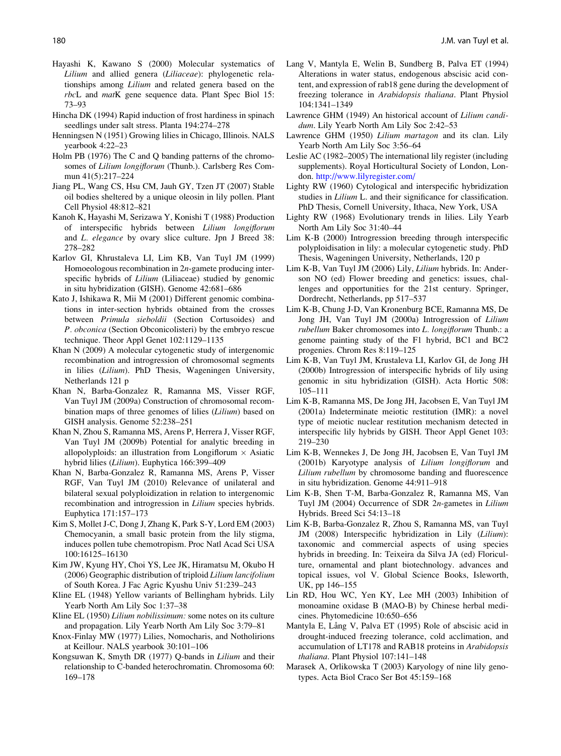- <span id="page-19-0"></span>Hayashi K, Kawano S (2000) Molecular systematics of Lilium and allied genera (Liliaceae): phylogenetic relationships among Lilium and related genera based on the rbcL and matK gene sequence data. Plant Spec Biol 15: 73–93
- Hincha DK (1994) Rapid induction of frost hardiness in spinach seedlings under salt stress. Planta 194:274–278
- Henningsen N (1951) Growing lilies in Chicago, Illinois. NALS yearbook 4:22–23
- Holm PB (1976) The C and Q banding patterns of the chromosomes of Lilium longiflorum (Thunb.). Carlsberg Res Commun 41(5):217–224
- Jiang PL, Wang CS, Hsu CM, Jauh GY, Tzen JT (2007) Stable oil bodies sheltered by a unique oleosin in lily pollen. Plant Cell Physiol 48:812–821
- Kanoh K, Hayashi M, Serizawa Y, Konishi T (1988) Production of interspecific hybrids between Lilium longiflorum and L. elegance by ovary slice culture. Jpn J Breed 38: 278–282
- Karlov GI, Khrustaleva LI, Lim KB, Van Tuyl JM (1999) Homoeologous recombination in 2n-gamete producing interspecific hybrids of *Lilium* (Liliaceae) studied by genomic in situ hybridization (GISH). Genome 42:681–686
- Kato J, Ishikawa R, Mii M (2001) Different genomic combinations in inter-section hybrids obtained from the crosses between Primula sieboldii (Section Cortusoides) and P. obconica (Section Obconicolisteri) by the embryo rescue technique. Theor Appl Genet 102:1129–1135
- Khan N (2009) A molecular cytogenetic study of intergenomic recombination and introgression of chromosomal segments in lilies (Lilium). PhD Thesis, Wageningen University, Netherlands 121 p
- Khan N, Barba-Gonzalez R, Ramanna MS, Visser RGF, Van Tuyl JM (2009a) Construction of chromosomal recombination maps of three genomes of lilies (Lilium) based on GISH analysis. Genome 52:238–251
- Khan N, Zhou S, Ramanna MS, Arens P, Herrera J, Visser RGF, Van Tuyl JM (2009b) Potential for analytic breeding in allopolyploids: an illustration from Longiflorum  $\times$  Asiatic hybrid lilies (Lilium). Euphytica 166:399–409
- Khan N, Barba-Gonzalez R, Ramanna MS, Arens P, Visser RGF, Van Tuyl JM (2010) Relevance of unilateral and bilateral sexual polyploidization in relation to intergenomic recombination and introgression in Lilium species hybrids. Euphytica 171:157–173
- Kim S, Mollet J-C, Dong J, Zhang K, Park S-Y, Lord EM (2003) Chemocyanin, a small basic protein from the lily stigma, induces pollen tube chemotropism. Proc Natl Acad Sci USA 100:16125–16130
- Kim JW, Kyung HY, Choi YS, Lee JK, Hiramatsu M, Okubo H (2006) Geographic distribution of triploid Lilium lancifolium of South Korea. J Fac Agric Kyushu Univ 51:239–243
- Kline EL (1948) Yellow variants of Bellingham hybrids. Lily Yearb North Am Lily Soc 1:37–38
- Kline EL (1950) Lilium nobilissimum: some notes on its culture and propagation. Lily Yearb North Am Lily Soc 3:79–81
- Knox-Finlay MW (1977) Lilies, Nomocharis, and Notholirions at Keillour. NALS yearbook 30:101–106
- Kongsuwan K, Smyth DR (1977) Q-bands in Lilium and their relationship to C-banded heterochromatin. Chromosoma 60: 169–178
- Lang V, Mantyla E, Welin B, Sundberg B, Palva ET (1994) Alterations in water status, endogenous abscisic acid content, and expression of rab18 gene during the development of freezing tolerance in Arabidopsis thaliana. Plant Physiol 104:1341–1349
- Lawrence GHM (1949) An historical account of Lilium candidum. Lily Yearb North Am Lily Soc 2:42–53
- Lawrence GHM (1950) Lilium martagon and its clan. Lily Yearb North Am Lily Soc 3:56–64
- Leslie AC (1982–2005) The international lily register (including supplements). Royal Horticultural Society of London, London. <http://www.lilyregister.com/>
- Lighty RW (1960) Cytological and interspecific hybridization studies in *Lilium* L. and their significance for classification. PhD Thesis, Cornell University, Ithaca, New York, USA
- Lighty RW (1968) Evolutionary trends in lilies. Lily Yearb North Am Lily Soc 31:40–44
- Lim K-B (2000) Introgression breeding through interspecific polyploidisation in lily: a molecular cytogenetic study. PhD Thesis, Wageningen University, Netherlands, 120 p
- Lim K-B, Van Tuyl JM (2006) Lily, Lilium hybrids. In: Anderson NO (ed) Flower breeding and genetics: issues, challenges and opportunities for the 21st century. Springer, Dordrecht, Netherlands, pp 517–537
- Lim K-B, Chung J-D, Van Kronenburg BCE, Ramanna MS, De Jong JH, Van Tuyl JM (2000a) Introgression of Lilium rubellum Baker chromosomes into L. longiflorum Thunb.: a genome painting study of the F1 hybrid, BC1 and BC2 progenies. Chrom Res 8:119–125
- Lim K-B, Van Tuyl JM, Krustaleva LI, Karlov GI, de Jong JH (2000b) Introgression of interspecific hybrids of lily using genomic in situ hybridization (GISH). Acta Hortic 508: 105–111
- Lim K-B, Ramanna MS, De Jong JH, Jacobsen E, Van Tuyl JM (2001a) Indeterminate meiotic restitution (IMR): a novel type of meiotic nuclear restitution mechanism detected in interspecific lily hybrids by GISH. Theor Appl Genet 103: 219–230
- Lim K-B, Wennekes J, De Jong JH, Jacobsen E, Van Tuyl JM (2001b) Karyotype analysis of Lilium longiflorum and Lilium rubellum by chromosome banding and fluorescence in situ hybridization. Genome 44:911–918
- Lim K-B, Shen T-M, Barba-Gonzalez R, Ramanna MS, Van Tuyl JM (2004) Occurrence of SDR 2n-gametes in Lilium Hybrids. Breed Sci 54:13–18
- Lim K-B, Barba-Gonzalez R, Zhou S, Ramanna MS, van Tuyl JM (2008) Interspecific hybridization in Lily (Lilium): taxonomic and commercial aspects of using species hybrids in breeding. In: Teixeira da Silva JA (ed) Floriculture, ornamental and plant biotechnology. advances and topical issues, vol V. Global Science Books, Isleworth, UK, pp 146–155
- Lin RD, Hou WC, Yen KY, Lee MH (2003) Inhibition of monoamine oxidase B (MAO-B) by Chinese herbal medicines. Phytomedicine 10:650–656
- Mantyla E, Lång V, Palva ET (1995) Role of abscisic acid in drought-induced freezing tolerance, cold acclimation, and accumulation of LT178 and RAB18 proteins in Arabidopsis thaliana. Plant Physiol 107:141–148
- Marasek A, Orlikowska T (2003) Karyology of nine lily genotypes. Acta Biol Craco Ser Bot 45:159–168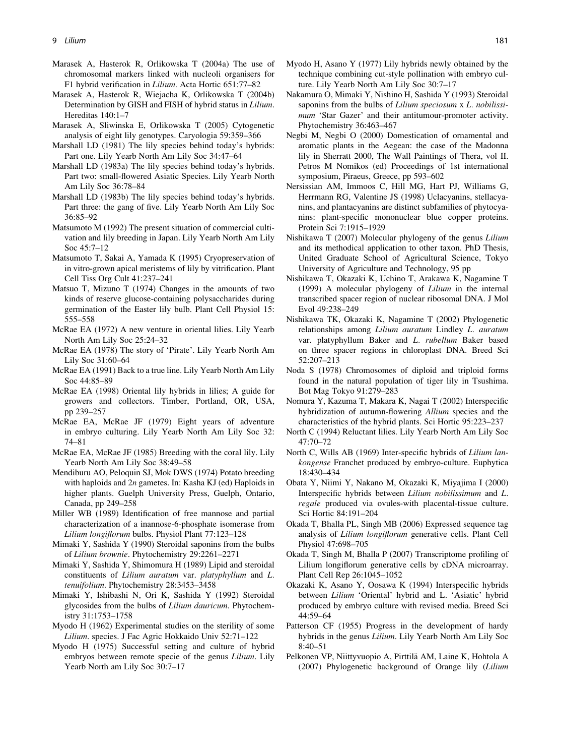- <span id="page-20-0"></span>Marasek A, Hasterok R, Orlikowska T (2004a) The use of chromosomal markers linked with nucleoli organisers for F1 hybrid verification in Lilium. Acta Hortic 651:77–82
- Marasek A, Hasterok R, Wiejacha K, Orlikowska T (2004b) Determination by GISH and FISH of hybrid status in Lilium. Hereditas 140:1–7
- Marasek A, Sliwinska E, Orlikowska T (2005) Cytogenetic analysis of eight lily genotypes. Caryologia 59:359–366
- Marshall LD (1981) The lily species behind today's hybrids: Part one. Lily Yearb North Am Lily Soc 34:47–64
- Marshall LD (1983a) The lily species behind today's hybrids. Part two: small-flowered Asiatic Species. Lily Yearb North Am Lily Soc 36:78–84
- Marshall LD (1983b) The lily species behind today's hybrids. Part three: the gang of five. Lily Yearb North Am Lily Soc 36:85–92
- Matsumoto M (1992) The present situation of commercial cultivation and lily breeding in Japan. Lily Yearb North Am Lily Soc 45:7–12
- Matsumoto T, Sakai A, Yamada K (1995) Cryopreservation of in vitro-grown apical meristems of lily by vitrification. Plant Cell Tiss Org Cult 41:237–241
- Matsuo T, Mizuno T (1974) Changes in the amounts of two kinds of reserve glucose-containing polysaccharides during germination of the Easter lily bulb. Plant Cell Physiol 15: 555–558
- McRae EA (1972) A new venture in oriental lilies. Lily Yearb North Am Lily Soc 25:24–32
- McRae EA (1978) The story of 'Pirate'. Lily Yearb North Am Lily Soc 31:60–64
- McRae EA (1991) Back to a true line. Lily Yearb North Am Lily Soc 44:85–89
- McRae EA (1998) Oriental lily hybrids in lilies; A guide for growers and collectors. Timber, Portland, OR, USA, pp 239–257
- McRae EA, McRae JF (1979) Eight years of adventure in embryo culturing. Lily Yearb North Am Lily Soc 32: 74–81
- McRae EA, McRae JF (1985) Breeding with the coral lily. Lily Yearb North Am Lily Soc 38:49–58
- Mendiburu AO, Peloquin SJ, Mok DWS (1974) Potato breeding with haploids and 2n gametes. In: Kasha KJ (ed) Haploids in higher plants. Guelph University Press, Guelph, Ontario, Canada, pp 249–258
- Miller WB (1989) Identification of free mannose and partial characterization of a inannose-6-phosphate isomerase from Lilium longiflorum bulbs. Physiol Plant 77:123–128
- Mimaki Y, Sashida Y (1990) Steroidal saponins from the bulbs of Lilium brownie. Phytochemistry 29:2261–2271
- Mimaki Y, Sashida Y, Shimomura H (1989) Lipid and steroidal constituents of Lilium auratum var. platyphyllum and L. tenuifolium. Phytochemistry 28:3453–3458
- Mimaki Y, Ishibashi N, Ori K, Sashida Y (1992) Steroidal glycosides from the bulbs of Lilium dauricum. Phytochemistry 31:1753–1758
- Myodo H (1962) Experimental studies on the sterility of some Lilium. species. J Fac Agric Hokkaido Univ 52:71–122
- Myodo H (1975) Successful setting and culture of hybrid embryos between remote specie of the genus Lilium. Lily Yearb North am Lily Soc 30:7–17
- Myodo H, Asano Y (1977) Lily hybrids newly obtained by the technique combining cut-style pollination with embryo culture. Lily Yearb North Am Lily Soc 30:7–17
- Nakamura O, Mimaki Y, Nishino H, Sashida Y (1993) Steroidal saponins from the bulbs of Lilium speciosum x L. nobilissimum 'Star Gazer' and their antitumour-promoter activity. Phytochemistry 36:463–467
- Negbi M, Negbi O (2000) Domestication of ornamental and aromatic plants in the Aegean: the case of the Madonna lily in Sherratt 2000, The Wall Paintings of Thera, vol II. Petros M Nomikos (ed) Proceedings of 1st international symposium, Piraeus, Greece, pp 593–602
- Nersissian AM, Immoos C, Hill MG, Hart PJ, Williams G, Herrmann RG, Valentine JS (1998) Uclacyanins, stellacyanins, and plantacyanins are distinct subfamilies of phytocyanins: plant-specific mononuclear blue copper proteins. Protein Sci 7:1915–1929
- Nishikawa T (2007) Molecular phylogeny of the genus Lilium and its methodical application to other taxon. PhD Thesis, United Graduate School of Agricultural Science, Tokyo University of Agriculture and Technology, 95 pp
- Nishikawa T, Okazaki K, Uchino T, Arakawa K, Nagamine T (1999) A molecular phylogeny of Lilium in the internal transcribed spacer region of nuclear ribosomal DNA. J Mol Evol 49:238–249
- Nishikawa TK, Okazaki K, Nagamine T (2002) Phylogenetic relationships among Lilium auratum Lindley L. auratum var. platyphyllum Baker and L. rubellum Baker based on three spacer regions in chloroplast DNA. Breed Sci 52:207–213
- Noda S (1978) Chromosomes of diploid and triploid forms found in the natural population of tiger lily in Tsushima. Bot Mag Tokyo 91:279–283
- Nomura Y, Kazuma T, Makara K, Nagai T (2002) Interspecific hybridization of autumn-flowering Allium species and the characteristics of the hybrid plants. Sci Hortic 95:223–237
- North C (1994) Reluctant lilies. Lily Yearb North Am Lily Soc 47:70–72
- North C, Wills AB (1969) Inter-specific hybrids of Lilium lankongense Franchet produced by embryo-culture. Euphytica 18:430–434
- Obata Y, Niimi Y, Nakano M, Okazaki K, Miyajima I (2000) Interspecific hybrids between Lilium nobilissimum and L. regale produced via ovules-with placental-tissue culture. Sci Hortic 84:191–204
- Okada T, Bhalla PL, Singh MB (2006) Expressed sequence tag analysis of Lilium longiflorum generative cells. Plant Cell Physiol 47:698–705
- Okada T, Singh M, Bhalla P (2007) Transcriptome profiling of Lilium longiflorum generative cells by cDNA microarray. Plant Cell Rep 26:1045–1052
- Okazaki K, Asano Y, Oosawa K (1994) Interspecific hybrids between Lilium 'Oriental' hybrid and L. 'Asiatic' hybrid produced by embryo culture with revised media. Breed Sci 44:59–64
- Patterson CF (1955) Progress in the development of hardy hybrids in the genus Lilium. Lily Yearb North Am Lily Soc 8:40–51
- Pelkonen VP, Niittyvuopio A, Pirttilä AM, Laine K, Hohtola A (2007) Phylogenetic background of Orange lily (Lilium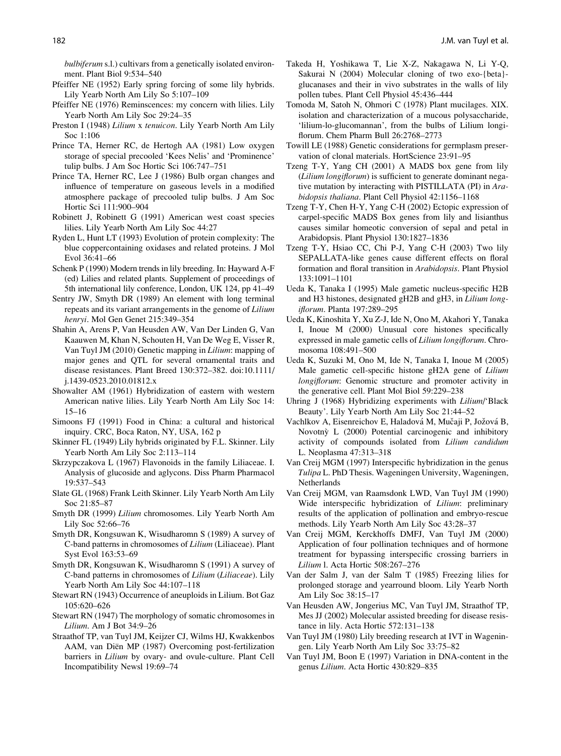<span id="page-21-0"></span>bulbiferum s.l.) cultivars from a genetically isolated environment. Plant Biol 9:534–540

- Pfeiffer NE (1952) Early spring forcing of some lily hybrids. Lily Yearb North Am Lily So 5:107–109
- Pfeiffer NE (1976) Reminscences: my concern with lilies. Lily Yearb North Am Lily Soc 29:24–35
- Preston I (1948) Lilium x tenuicon. Lily Yearb North Am Lily Soc 1:106
- Prince TA, Herner RC, de Hertogh AA (1981) Low oxygen storage of special precooled 'Kees Nelis' and 'Prominence' tulip bulbs. J Am Soc Hortic Sci 106:747–751
- Prince TA, Herner RC, Lee J (1986) Bulb organ changes and influence of temperature on gaseous levels in a modified atmosphere package of precooled tulip bulbs. J Am Soc Hortic Sci 111:900–904
- Robinett J, Robinett G (1991) American west coast species lilies. Lily Yearb North Am Lily Soc 44:27
- Ryden L, Hunt LT (1993) Evolution of protein complexity: The blue coppercontaining oxidases and related proteins. J Mol Evol 36:41–66
- Schenk P (1990) Modern trends in lily breeding. In: Hayward A-F (ed) Lilies and related plants. Supplement of proceedings of 5th international lily conference, London, UK 124, pp 41–49
- Sentry JW, Smyth DR (1989) An element with long terminal repeats and its variant arrangements in the genome of Lilium henryi. Mol Gen Genet 215:349–354
- Shahin A, Arens P, Van Heusden AW, Van Der Linden G, Van Kaauwen M, Khan N, Schouten H, Van De Weg E, Visser R, Van Tuyl JM (2010) Genetic mapping in Lilium: mapping of major genes and QTL for several ornamental traits and disease resistances. Plant Breed 130:372–382. doi:10.1111/ j.1439-0523.2010.01812.x
- Showalter AM (1961) Hybridization of eastern with western American native lilies. Lily Yearb North Am Lily Soc 14: 15–16
- Simoons FJ (1991) Food in China: a cultural and historical inquiry. CRC, Boca Raton, NY, USA, 162 p
- Skinner FL (1949) Lily hybrids originated by F.L. Skinner. Lily Yearb North Am Lily Soc 2:113–114
- Skrzypczakova L (1967) Flavonoids in the family Liliaceae. I. Analysis of glucoside and aglycons. Diss Pharm Pharmacol 19:537–543
- Slate GL (1968) Frank Leith Skinner. Lily Yearb North Am Lily Soc 21:85–87
- Smyth DR (1999) Lilium chromosomes. Lily Yearb North Am Lily Soc 52:66–76
- Smyth DR, Kongsuwan K, Wisudharomn S (1989) A survey of C-band patterns in chromosomes of Lilium (Liliaceae). Plant Syst Evol 163:53–69
- Smyth DR, Kongsuwan K, Wisudharomn S (1991) A survey of C-band patterns in chromosomes of Lilium (Liliaceae). Lily Yearb North Am Lily Soc 44:107–118
- Stewart RN (1943) Occurrence of aneuploids in Lilium. Bot Gaz 105:620–626
- Stewart RN (1947) The morphology of somatic chromosomes in Lilium. Am J Bot 34:9–26
- Straathof TP, van Tuyl JM, Keijzer CJ, Wilms HJ, Kwakkenbos AAM, van Diën MP (1987) Overcoming post-fertilization barriers in Lilium by ovary- and ovule-culture. Plant Cell Incompatibility Newsl 19:69–74
- Takeda H, Yoshikawa T, Lie X-Z, Nakagawa N, Li Y-Q, Sakurai N (2004) Molecular cloning of two exo-{beta} glucanases and their in vivo substrates in the walls of lily pollen tubes. Plant Cell Physiol 45:436–444
- Tomoda M, Satoh N, Ohmori C (1978) Plant mucilages. XIX. isolation and characterization of a mucous polysaccharide, 'lilium-lo-glucomannan', from the bulbs of Lilium longiflorum. Chem Pharm Bull 26:2768–2773
- Towill LE (1988) Genetic considerations for germplasm preservation of clonal materials. HortScience 23:91–95
- Tzeng T-Y, Yang CH (2001) A MADS box gene from lily (Lilium longiflorum) is sufficient to generate dominant negative mutation by interacting with PISTILLATA (PI) in Arabidopsis thaliana. Plant Cell Physiol 42:1156–1168
- Tzeng T-Y, Chen H-Y, Yang C-H (2002) Ectopic expression of carpel-specific MADS Box genes from lily and lisianthus causes similar homeotic conversion of sepal and petal in Arabidopsis. Plant Physiol 130:1827–1836
- Tzeng T-Y, Hsiao CC, Chi P-J, Yang C-H (2003) Two lily SEPALLATA-like genes cause different effects on floral formation and floral transition in Arabidopsis. Plant Physiol 133:1091–1101
- Ueda K, Tanaka I (1995) Male gametic nucleus-specific H2B and H3 histones, designated gH2B and gH3, in *Lilium long*iflorum. Planta 197:289–295
- Ueda K, Kinoshita Y, Xu Z-J, Ide N, Ono M, Akahori Y, Tanaka I, Inoue M (2000) Unusual core histones specifically expressed in male gametic cells of Lilium longiflorum. Chromosoma 108:491–500
- Ueda K, Suzuki M, Ono M, Ide N, Tanaka I, Inoue M (2005) Male gametic cell-specific histone gH2A gene of Lilium longiflorum: Genomic structure and promoter activity in the generative cell. Plant Mol Biol 59:229–238
- Uhring J (1968) Hybridizing experiments with Lilium/'Black Beauty'. Lily Yearb North Am Lily Soc 21:44–52
- Vachlkov A, Eisenreichov E, Haladová M, Mučaji P, Jožová B, Novotnỳ L (2000) Potential carcinogenic and inhibitory activity of compounds isolated from Lilium candidum L. Neoplasma 47:313–318
- Van Creij MGM (1997) Interspecific hybridization in the genus Tulipa L. PhD Thesis. Wageningen University, Wageningen, Netherlands
- Van Creij MGM, van Raamsdonk LWD, Van Tuyl JM (1990) Wide interspecific hybridization of Lilium: preliminary results of the application of pollination and embryo-rescue methods. Lily Yearb North Am Lily Soc 43:28–37
- Van Creij MGM, Kerckhoffs DMFJ, Van Tuyl JM (2000) Application of four pollination techniques and of hormone treatment for bypassing interspecific crossing barriers in Lilium l. Acta Hortic 508:267–276
- Van der Salm J, van der Salm T (1985) Freezing lilies for prolonged storage and yearround bloom. Lily Yearb North Am Lily Soc 38:15–17
- Van Heusden AW, Jongerius MC, Van Tuyl JM, Straathof TP, Mes JJ (2002) Molecular assisted breeding for disease resistance in lily. Acta Hortic 572:131–138
- Van Tuyl JM (1980) Lily breeding research at IVT in Wageningen. Lily Yearb North Am Lily Soc 33:75–82
- Van Tuyl JM, Boon E (1997) Variation in DNA-content in the genus Lilium. Acta Hortic 430:829–835